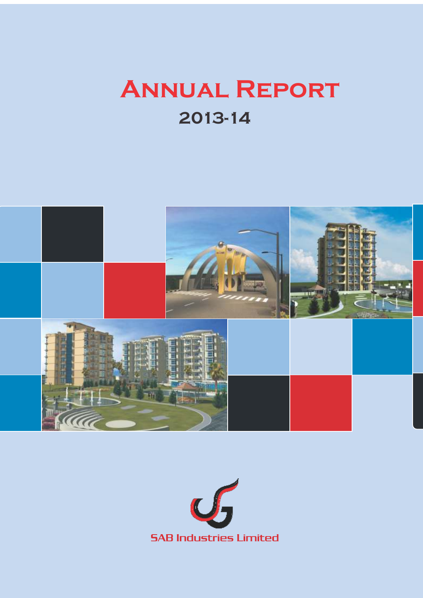## **Annual Report 2013-14**



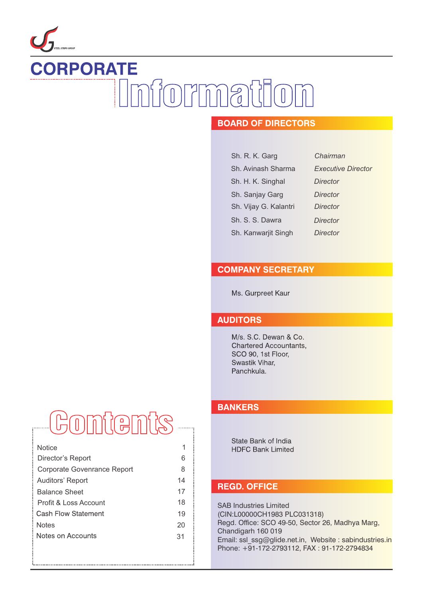## **CORPORATE** Informat

## **BOARD OF DIRECTORS**

| Sh. R. K. Garg        | Chairman                  |
|-----------------------|---------------------------|
| Sh. Avinash Sharma    | <b>Executive Director</b> |
| Sh. H. K. Singhal     | Director                  |
| Sh. Sanjay Garg       | Director                  |
| Sh. Vijay G. Kalantri | Director                  |
| Sh. S. S. Dawra       | Director                  |
| Sh. Kanwarjit Singh   | Director                  |

## **COMPANY SECRETARY**

Ms. Gurpreet Kaur

## **AUDITORS**

M/s. S.C. Dewan & Co. Chartered Accountants, SCO 90, 1st Floor, Swastik Vihar. Panchkula.

# Gontents

| <b>Notice</b>               |    |
|-----------------------------|----|
| Director's Report           | 6  |
| Corporate Govenrance Report | 8  |
| Auditors' Report            | 14 |
| <b>Balance Sheet</b>        | 17 |
| Profit & Loss Account       | 18 |
| Cash Flow Statement         | 19 |
| <b>Notes</b>                | 20 |
| Notes on Accounts           | 31 |
|                             |    |
|                             |    |

### **BANKERS**

State Bank of India **HDFC Bank Limited** 

## **REGD. OFFICE**

SAB Industries Limited (CIN:L00000CH1983 PLC031318) Regd. Office: SCO 49-50, Sector 26, Madhya Marg, Chandigarh 160 019 Email: ssl\_ssg@glide.net.in, Website : sabindustries.in Phone: +91-172-2793112, FAX : 91-172-2794834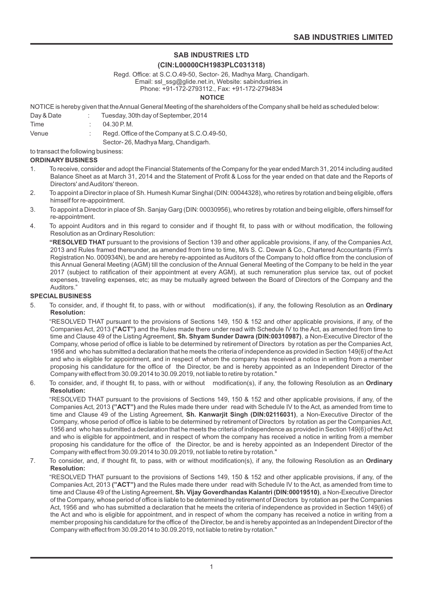## **SAB INDUSTRIES LTD**

#### **(CIN:L00000CH1983PLC031318)**

Regd. Office: at S.C.O.49-50, Sector- 26, Madhya Marg, Chandigarh. Email: ssl\_ssg@glide.net.in, Website: sabindustries.in

Phone: +91-172-2793112., Fax: +91-172-2794834

### **NOTICE**

NOTICE is hereby given that the Annual General Meeting of the shareholders of the Company shall be held as scheduled below:

- Day & Date : Tuesday, 30th day of September, 2014
- Time : 04.30 P.M.
- Venue : Regd. Office of the Company at S.C.O.49-50,

Sector- 26, Madhya Marg, Chandigarh.

to transact the following business:

#### **ORDINARY BUSINESS**

- 1. To receive, consider and adopt the Financial Statements of the Company for the year ended March 31, 2014 including audited Balance Sheet as at March 31, 2014 and the Statement of Profit & Loss for the year ended on that date and the Reports of Directors' and Auditors' thereon.
- 2. To appoint a Director in place of Sh. Humesh Kumar Singhal (DIN: 00044328), who retires by rotation and being eligible, offers himself for re-appointment.
- 3. To appoint a Director in place of Sh. Sanjay Garg (DIN: 00030956), who retires by rotation and being eligible, offers himself for re-appointment.
- 4. To appoint Auditors and in this regard to consider and if thought fit, to pass with or without modification, the following Resolution as an Ordinary Resolution:

**"RESOLVED THAT** pursuant to the provisions of Section 139 and other applicable provisions, if any, of the Companies Act, 2013 and Rules framed thereunder, as amended from time to time, M/s S. C. Dewan & Co., Chartered Accountants (Firm's Registration No. 000934N), be and are hereby re-appointed as Auditors of the Company to hold office from the conclusion of this Annual General Meeting (AGM) till the conclusion of the Annual General Meeting of the Company to be held in the year 2017 (subject to ratification of their appointment at every AGM), at such remuneration plus service tax, out of pocket expenses, traveling expenses, etc; as may be mutually agreed between the Board of Directors of the Company and the Auditors."

#### **SPECIAL BUSINESS**

5. To consider, and, if thought fit, to pass, with or without modification(s), if any, the following Resolution as an **Ordinary Resolution:**

"RESOLVED THAT pursuant to the provisions of Sections 149, 150 & 152 and other applicable provisions, if any, of the Companies Act, 2013 **("ACT")** and the Rules made there under read with Schedule IV to the Act, as amended from time to time and Clause 49 of the Listing Agreement, **Sh. Shyam Sunder Dawra (DIN:00310987)**, a Non-Executive Director of the Company, whose period of office is liable to be determined by retirement of Directors by rotation as per the Companies Act, 1956 and who has submitted a declaration that he meets the criteria of independence as provided in Section 149(6) of the Act and who is eligible for appointment, and in respect of whom the company has received a notice in writing from a member proposing his candidature for the office of the Director, be and is hereby appointed as an Independent Director of the Company with effect from 30.09.2014 to 30.09.2019, not liable to retire by rotation."

6. To consider, and, if thought fit, to pass, with or without modification(s), if any, the following Resolution as an **Ordinary Resolution:**

"RESOLVED THAT pursuant to the provisions of Sections 149, 150 & 152 and other applicable provisions, if any, of the Companies Act, 2013 **("ACT")** and the Rules made there under read with Schedule IV to the Act, as amended from time to time and Clause 49 of the Listing Agreement, **Sh. Kanwarjit Singh (DIN:02116031)**, a Non-Executive Director of the Company, whose period of office is liable to be determined by retirement of Directors by rotation as per the Companies Act, 1956 and who has submitted a declaration that he meets the criteria of independence as provided in Section 149(6) of the Act and who is eligible for appointment, and in respect of whom the company has received a notice in writing from a member proposing his candidature for the office of the Director, be and is hereby appointed as an Independent Director of the Company with effect from 30.09.2014 to 30.09.2019, not liable to retire by rotation."

7. To consider, and, if thought fit, to pass, with or without modification(s), if any, the following Resolution as an **Ordinary Resolution:**

"RESOLVED THAT pursuant to the provisions of Sections 149, 150 & 152 and other applicable provisions, if any, of the Companies Act, 2013 **("ACT")** and the Rules made there under read with Schedule IV to the Act, as amended from time to time and Clause 49 of the Listing Agreement, **Sh. Vijay Goverdhandas Kalantri (DIN:00019510)**, a Non-Executive Director of the Company, whose period of office is liable to be determined by retirement of Directors by rotation as per the Companies Act, 1956 and who has submitted a declaration that he meets the criteria of independence as provided in Section 149(6) of the Act and who is eligible for appointment, and in respect of whom the company has received a notice in writing from a member proposing his candidature for the office of the Director, be and is hereby appointed as an Independent Director of the Company with effect from 30.09.2014 to 30.09.2019, not liable to retire by rotation."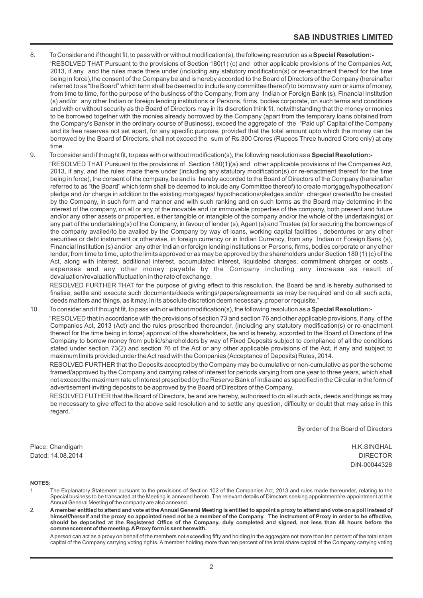8. To Consider and if thought fit, to pass with or without modification(s), the following resolution as a **Special Resolution:-**

"RESOLVED THAT Pursuant to the provisions of Section 180(1) (c) and other applicable provisions of the Companies Act, 2013, if any and the rules made there under (including any statutory modification(s) or re-enactment thereof for the time being in force),the consent of the Company be and is hereby accorded to the Board of Directors of the Company (hereinafter referred to as "the Board" which term shall be deemed to include any committee thereof) to borrow any sum or sums of money, from time to time, for the purpose of the business of the Company, from any Indian or Foreign Bank (s), Financial Institution (s) and/or any other Indian or foreign lending institutions or Persons, firms, bodies corporate, on such terms and conditions and with or without security as the Board of Directors may in its discretion think fit, notwithstanding that the money or monies to be borrowed together with the monies already borrowed by the Company (apart from the temporary loans obtained from the Company's Banker in the ordinary course of Business), exceed the aggregate of the "Paid up" Capital of the Company and its free reserves not set apart, for any specific purpose, provided that the total amount upto which the money can be borrowed by the Board of Directors, shall not exceed the sum of Rs.300 Crores (Rupees Three hundred Crore only) at any time.

9. To consider and if thought fit, to pass with or without modification(s), the following resolution as a **Special Resolution:-** "RESOLVED THAT Pursuant to the provisions of Section 180(1)(a) and other applicable provisions of the Companies Act, 2013, if any, and the rules made there under (including any statutory modification(s) or re-enactment thereof for the time being in force), the consent of the company, be and is hereby accorded to the Board of Directors of the Company (hereinafter referred to as "the Board" which term shall be deemed to include any Committee thereof) to create mortgage/hypothecation/ pledge and /or charge in addition to the existing mortgages/ hypothecations/pledges and/or charges/ created/to be created by the Company, in such form and manner and with such ranking and on such terms as the Board may determine in the interest of the company, on all or any of the movable and /or immovable properties of the company, both present and future and/or any other assets or properties, either tangible or intangible of the company and/or the whole of the undertaking(s) or any part of the undertaking(s) of the Company, in favour of lender (s), Agent (s) and Trustee (s) for securing the borrowings of the company availed/to be availed by the Company by way of loans, working capital facilities , debentures or any other securities or debt instrument or otherwise, in foreign currency or in Indian Currency, from any Indian or Foreign Bank (s), Financial Institution (s) and/or any other Indian or foreign lending institutions or Persons, firms, bodies corporate or any other lender, from time to time, upto the limits approved or as may be approved by the shareholders under Section 180 (1) (c) of the Act. along with interest, additional interest, accumulated interest, liquidated charges, commitment charges or costs, expenses and any other money payable by the Company including any increase as result of devaluation/revaluation/fluctuation in the rate of exchange.

RESOLVED FURTHER THAT for the purpose of giving effect to this resolution, the Board be and is hereby authorised to finalise, settle and execute such documents/deeds writings/papers/agreements as may be required and do all such acts, deeds matters and things, as it may, in its absolute discretion deem necessary, proper or requisite."

10. To consider and if thought fit, to pass with or without modification(s), the following resolution as a **Special Resolution:-** "RESOLVED that in accordance with the provisions of section 73 and section 76 and other applicable provisions, if any, of the Companies Act, 2013 (Act) and the rules prescribed thereunder, (including any statutory modification(s) or re-enactment thereof for the time being in force) approval of the shareholders, be and is hereby, accorded to the Board of Directors of the

Company to borrow money from public/shareholders by way of Fixed Deposits subject to compliance of all the conditions stated under section 73(2) and section 76 of the Act or any other applicable provisions of the Act, if any and subject to maximum limits provided under the Act read with the Companies (Acceptance of Deposits) Rules, 2014.

RESOLVED FURTHER that the Deposits accepted by the Company may be cumulative or non-cumulative as per the scheme framed/approved by the Company and carrying rates of interest for periods varying from one year to three years, which shall not exceed the maximum rate of interest prescribed by the Reserve Bank of India and as specified in the Circular in the form of advertisement inviting deposits to be approved by the Board of Directors of the Company.

RESOLVED FUTHER that the Board of Directors, be and are hereby, authorised to do all such acts, deeds and things as may be necessary to give effect to the above said resolution and to settle any question, difficulty or doubt that may arise in this regard."

By order of the Board of Directors

Dated: 14.08.2014 DIRECTOR

Place: Chandigarh **H.K.SINGHAL** H.R.SINGHAL DIN-00044328

#### **NOTES:**

- 1. The Explanatory Statement pursuant to the provisions of Section 102 of the Companies Act, 2013 and rules made thereunder, relating to the Special business to be transacted at the Meeting is annexed hereto. The relevant details of Directors seeking appointment/re-appointment at this Annual General Meeting of the company are also annexed.
- 2. **A member entitled to attend and vote at the Annual General Meeting is entitled to appoint a proxy to attend and vote on a poll instead of himself/herself and the proxy so appointed need not be a member of the Company. The instrument of Proxy in order to be effective, should be deposited at the Registered Office of the Company, duly completed and signed, not less than 48 hours before the commencement of the meeting. AProxy form is sent herewith.**

Aperson can act as a proxy on behalf of the members not exceeding fifty and holding in the aggregate not more than ten percent of the total share capital of the Company carrying voting rights. A member holding more than ten percent of the total share capital of the Company carrying voting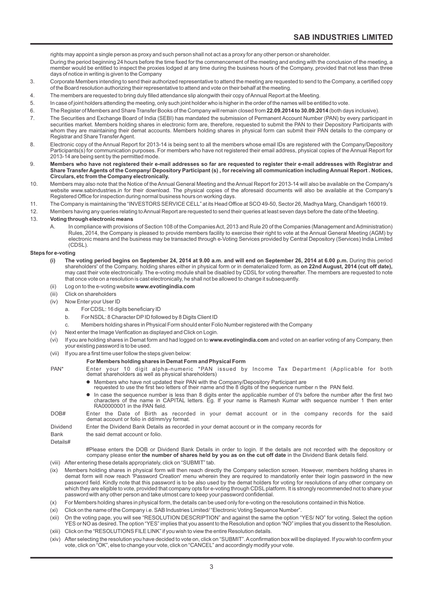rights may appoint a single person as proxy and such person shall not act as a proxy for any other person or shareholder.

During the period beginning 24 hours before the time fixed for the commencement of the meeting and ending with the conclusion of the meeting, a member would be entitled to inspect the proxies lodged at any time during the business hours of the Company, provided that not less than three days of notice in writing is given to the Company

- 3. Corporate Members intending to send their authorized representative to attend the meeting are requested to send to the Company, a certified copy of the Board resolution authorizing their representative to attend and vote on their behalf at the meeting.
- 4. The members are requested to bring duly filled attendance slip alongwith their copy of Annual Report at the Meeting.
- 5. In case of joint holders attending the meeting, only such joint holder who is higher in the order of the names will be entitled to vote.
- 6. The Register of Members and Share Transfer Books of the Company will remain closed from **22.09.2014 to 30.09.2014** (both days inclusive).
- 7. The Securities and Exchange Board of India (SEBI) has mandated the submission of Permanent Account Number (PAN) by every participant in securities market. Members holding shares in electronic form are, therefore, requested to submit the PAN to their Depository Participants with whom they are maintaining their demat accounts. Members holding shares in physical form can submit their PAN details to the company or Registrar and Share Transfer Agent.
- 8. Electronic copy of the Annual Report for 2013-14 is being sent to all the members whose email IDs are registered with the Company/Depository Participants(s) for communication purposes. For members who have not registered their email address, physical copies of the Annual Report for 2013-14 are being sent by the permitted mode.
- 9. **Members who have not registered their e-mail addresses so far are requested to register their e-mail addresses with Registrar and Share Transfer Agents of the Company/ Depository Participant (s) , for receiving all communication including Annual Report . Notices, Circulars, etc from the Company electronically.**
- 10. Members may also note that the Notice of the Annual General Meeting and the Annual Report for 2013-14 will also be available on the Company's website www.sabindustries.in for their download. The physical copies of the aforesaid documents will also be available at the Company's Registered Office for inspection during normal business hours on working days.
- 11. The Company is maintaining the "INVESTORS SERVICE CELL" at its Head Office at SCO 49-50, Sector 26, Madhya Marg, Chandigarh 160019.
- 12. Members having any queries relating to Annual Report are requested to send their queries at least seven days before the date of the Meeting.

#### 13. **Voting through electronic means**

A. In compliance with provisions of Section 108 of the Companies Act, 2013 and Rule 20 of the Companies (Management and Administration) Rules, 2014, the Company is pleased to provide members facility to exercise their right to vote at the Annual General Meeting (AGM) by electronic means and the business may be transacted through e-Voting Services provided by Central Depository (Services) India Limited (CDSL).

#### **Steps for e-voting**

- **(i) The voting period begins on September 24, 2014 at 9.00 a.m. and will end on September 26, 2014 at 6.00 p.m.** During this period shareholders' of the Company, holding shares either in physical form or in dematerialized form, as **on 22nd August, 2014 (cut off date),** may cast their vote electronically. The e-voting module shall be disabled by CDSL for voting thereafter. The members are requested to note that once vote on a resolution is cast electronically, he shall not be allowed to change it subsequently.
- (ii) Log on to the e-voting website **www.evotingindia.com**
- (iii) Click on shareholders
- (iv) Now Enter your User ID
	- a. For CDSL: 16 digits beneficiary ID
	- b. For NSDL: 8 Character DPID followed by 8 Digits Client ID
	- c. Members holding shares in Physical Form should enter Folio Number registered with the Company
- (v) Next enter the Image Verification as displayed and Click on Login.
- (vi) If you are holding shares in Demat form and had logged on to **www.evotingindia.com** and voted on an earlier voting of any Company, then your existing password is to be used.
- (vii) If you are a first time user follow the steps given below:

#### **For Members holding shares in Demat Form and Physical Form**

- PAN\* Enter your 10 digit alpha-numeric \*PAN issued by Income Tax Department (Applicable for both demat shareholders as well as physical shareholders)
	- Members who have not updated their PAN with the Company/Depository Participant are
	- requested to use the first two letters of their name and the 8 digits of the sequence number n the PAN field.
	- In case the sequence number is less than 8 digits enter the applicable number of 0's before the number after the first two<br>characters of the name in CAPITAL letters. Eg. If your name is Ramesh Kumar with sequence number 1 RA00000001 in the PAN field.
- DOB# Enter the Date of Birth as recorded in your demat account or in the company records for the said demat account or folio in dd/mm/yy format.

| Dividend | Enter the Dividend Bank Details as recorded in your demat account or in the company records for |
|----------|-------------------------------------------------------------------------------------------------|
| Bank     | the said demat account or folio.                                                                |
| Details# |                                                                                                 |

#Please enters the DOB or Dividend Bank Details in order to login. If the details are not recorded with the depository or<br>company please enter **the number of shares held by you as on the cut off date** in the Dividend Bank

- (viii) After entering these details appropriately, click on "SUBMIT" tab.
- (ix) Members holding shares in physical form will then reach directly the Company selection screen. However, members holding shares in demat form will now reach 'Password Creation' menu wherein they are required to mandatorily enter their login password in the new password field. Kindly note that this password is to be also used by the demat holders for voting for resolutions of any other company on which they are eligible to vote, provided that company opts for e-voting through CDSL platform. It is strongly recommended not to share your password with any other person and take utmost care to keep your password confidential.
- (x) For Members holding shares in physical form, the details can be used only for e-voting on the resolutions contained in this Notice.
- (xi) Click on the name of the Company i.e. SAB Industries Limited/ "Electronic Voting Sequence Number".
- (xii) On the voting page, you will see "RESOLUTION DESCRIPTION" and against the same the option "YES/ NO" for voting. Select the option YES or NO as desired. The option "YES" implies that you assent to the Resolution and option "NO" implies that you dissent to the Resolution. (xiii) Click on the "RESOLUTIONS FILE LINK" if you wish to view the entire Resolution details.
- (xiv) After selecting the resolution you have decided to vote on, click on "SUBMIT". Aconfirmation box will be displayed. If you wish to confirm your vote, click on "OK", else to change your vote, click on "CANCEL" and accordingly modify your vote.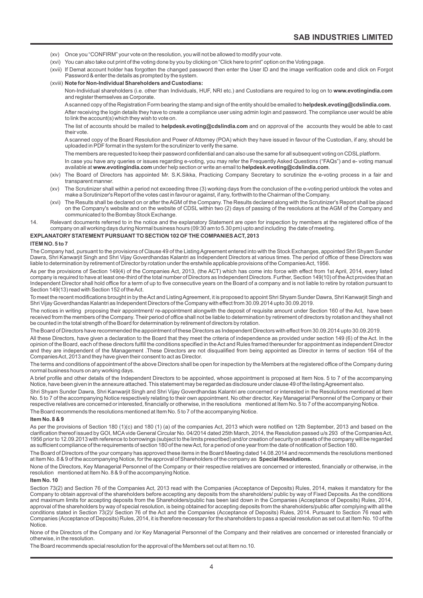- (xv) Once you "CONFIRM" your vote on the resolution, you will not be allowed to modify your vote.
- (xvi) You can also take out print of the voting done by you by clicking on "Click here to print" option on the Voting page.
- (xvii) If Demat account holder has forgotten the changed password then enter the User ID and the image verification code and click on Forgot Password & enter the details as prompted by the system.
- (xviii) **Note for Non-Individual Shareholders and Custodians:**

 Non-Individual shareholders (i.e. other than Individuals, HUF, NRI etc.) and Custodians are required to log on to **www.evotingindia.com** and register themselves as Corporate.

Ascanned copy of the Registration Form bearing the stamp and sign of the entity should be emailed to **helpdesk.evoting@cdslindia.com.**

 After receiving the login details they have to create a compliance user using admin login and password. The compliance user would be able to link the account(s) which they wish to vote on.

 The list of accounts should be mailed to **helpdesk.evoting@cdslindia.com** and on approval of the accounts they would be able to cast their vote.

 A scanned copy of the Board Resolution and Power of Attorney (POA) which they have issued in favour of the Custodian, if any, should be uploaded in PDF format in the system for the scrutinizer to verify the same.

The members are requested to keep their password confidential and can also use the same for all subsequent voting on CDSL platform.

In case you have any queries or issues regarding e-voting, you may refer the Frequently Asked Questions ("FAQs") and e- voting manual available at **www.evotingindia.com** under help section or write an email to **helpdesk.evoting@cdslindia.com**.

- (xiv) The Board of Directors has appointed Mr. S.K.Sikka, Practicing Company Secretary to scrutinize the e-voting process in a fair and transparent manner.
- (xv) The Scrutinizer shall within a period not exceeding three (3) working days from the conclusion of the e-voting period unblock the votes and make a Scrutinizer's Report of the votes cast in favour or against, if any, forthwith to the Chairman of the Company.
- (xvi) The Results shall be declared on or after the AGM of the Company. The Results declared along with the Scrutinizer's Report shall be placed on the Company's website and on the website of CDSL within two (2) days of passing of the resolutions at the AGM of the Company and communicated to the Bombay Stock Exchange.
- 14. Relevant documents referred to in the notice and the explanatory Statement are open for inspection by members at the registered office of the company on all working days during Normal business hours (09:30 am to 5.30 pm) upto and including the date of meeting.

#### **EXPLANATORYSTATEMENT PURSUANT TO SECTION 102 OF THE COMPANIES ACT, 2013**

#### **ITEM NO. 5 to 7**

The Company had, pursuant to the provisions of Clause 49 of the Listing Agreement entered into with the Stock Exchanges, appointed Shri Shyam Sunder Dawra, Shri Kanwarjit Singh and Shri Vijay Goverdhandas Kalantri as Independent Directors at various times. The period of office of these Directors was liable to determination by retirement of Director by rotation under the erstwhile applicable provisions of the Companies Act, 1956.

As per the provisions of Section 149(4) of the Companies Act, 2013, (the ACT) which has come into force with effect from 1st April, 2014, every listed company is required to have at least one-third of the total number of Directors as Independent Directors. Further, Section 149(10) of the Act provides that an Independent Director shall hold office for a term of up to five consecutive years on the Board of a company and is not liable to retire by rotation pursuant to Section 149(13) read with Section 152 of the Act.

To meet the recent modifications brought in by the Act and Listing Agreement, it is proposed to appoint Shri Shyam Sunder Dawra, Shri Kanwarjit Singh and Shri Vijay Goverdhandas Kalantri as Independent Directors of the Company with effect from 30.09.2014 upto 30.09.2019.

The notices in writing proposing their appointment/ re-appointment alongwith the deposit of requisite amount under Section 160 of the Act, have been received from the members of the Company. Their period of office shall not be liable to determination by retirement of directors by rotation and they shall not be counted in the total strength of the Board for determination by retirement of directors by rotation.

The Board of Directors have recommended the appointment of these Directors as Independent Directors with effect from 30.09.2014 upto 30.09.2019.

All these Directors, have given a declaration to the Board that they meet the criteria of independence as provided under section 149 (6) of the Act. In the opinion of the Board, each of these directors fulfill the conditions specified in the Act and Rules framed thereunder for appointment as independent Director and they are independent of the Management .These Directors are not disqualified from being appointed as Director in terms of section 164 of the Companies Act, 2013 and they have given their consent to act as Director.

The terms and conditions of appointment of the above Directors shall be open for inspection by the Members at the registered office of the Company during normal business hours on any working days.

A brief profile and other details of the Independent Directors to be appointed, whose appointment is proposed at Item Nos. 5 to 7 of the accompanying Notice, have been given in the annexure attached. This statement may be regarded as disclosure under clause 49 of the listing Agreement also.

Shri Shyam Sunder Dawra, Shri Kanwarjit Singh and Shri Vijay Goverdhandas Kalantri are concerned or interested in the Resolutions mentioned at Item No. 5 to 7 of the accompanying Notice respectively relating to their own appointment. No other director, Key Managerial Personnel of the Company or their respective relatives are concerned or interested, financially or otherwise, in the resolutions mentioned at Item No. 5 to 7 of the accompanying Notice.

The Board recommends the resolutions mentioned at Item No. 5 to 7 of the accompanying Notice.

#### **Item No. 8 & 9**

As per the provisions of Section 180 (1)(c) and 180 (1) (a) of the companies Act, 2013 which were notified on 12th September, 2013 and based on the clarification thereof issued by GOI, MCAvide General Circular No. 04/2014 dated 25th March, 2014, the Resolution passed u/s 293 of the Companies Act, 1956 prior to 12.09.2013 with reference to borrowings (subject to the limits prescribed) and/or creation of security on assets of the company will be regarded as sufficient compliance of the requirements of section 180 of the new Act, for a period of one year from the date of notification of Section 180.

The Board of Directors of the your company has approved these items in the Board Meeting dated 14.08.2014 and recommends the resolutions mentioned at Item No. 8 & 9 of the accompanying Notice, for the approval of Shareholders of the company as **Special Resolutions.**

None of the Directors, Key Managerial Personnel of the Company or their respective relatives are concerned or interested, financially or otherwise, in the resolution mentioned at Item No. 8 & 9 of the accompanying Notice.

#### **Item No. 10**

Section 73(2) and Section 76 of the Companies Act, 2013 read with the Companies (Acceptance of Deposits) Rules, 2014, makes it mandatory for the Company to obtain approval of the shareholders before accepting any deposits from the shareholders/ public by way of Fixed Deposits. As the conditions and maximum limits for accepting deposits from the Shareholders/public has been laid down in the Companies (Acceptance of Deposits) Rules, 2014, approval of the shareholders by way of special resolution, is being obtained for accepting deposits from the shareholders/public after complying with all the conditions stated in Section 73(2)/ Section 76 of the Act and the Companies (Acceptance of Deposits) Rules, 2014. Pursuant to Section 76 read with Companies (Acceptance of Deposits) Rules, 2014, it is therefore necessary for the shareholders to pass a special resolution as set out at Item No. 10 of the Notice.

None of the Directors of the Company and /or Key Managerial Personnel of the Company and their relatives are concerned or interested financially or otherwise, in the resolution.

The Board recommends special resolution for the approval of the Members set out at Item no.10.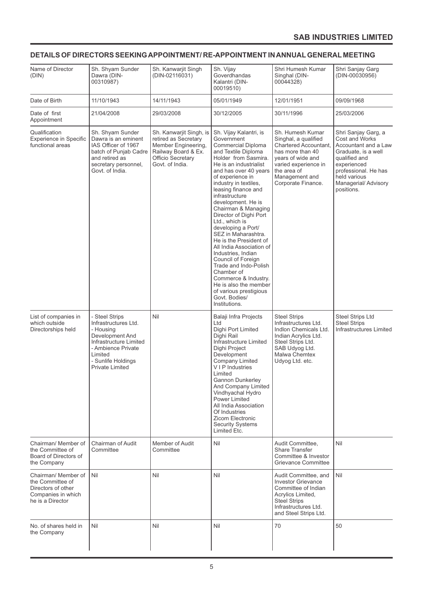## **DETAILS OF DIRECTORS SEEKING APPOINTMENT/ RE-APPOINTMENT IN ANNUALGENERAL MEETING**

| Name of Director<br>(DIN)                                                                               | Sh. Shyam Sunder<br>Dawra (DIN-<br>00310987)                                                                                                                                                                                                                                                                                                                                                                                                                                                                                                                                                                                                                                                                                                                                                                                                                                                                                                                                                                                                                                                                                                        | Sh. Kanwarjit Singh<br>(DIN-02116031) | Sh. Vijay<br>Goverdhandas<br>Kalantri (DIN-<br>00019510)                                                                                                                                          | Shri Humesh Kumar<br>Singhal (DIN-<br>00044328)                                                                                                                       | Shri Sanjay Garg<br>(DIN-00030956) |
|---------------------------------------------------------------------------------------------------------|-----------------------------------------------------------------------------------------------------------------------------------------------------------------------------------------------------------------------------------------------------------------------------------------------------------------------------------------------------------------------------------------------------------------------------------------------------------------------------------------------------------------------------------------------------------------------------------------------------------------------------------------------------------------------------------------------------------------------------------------------------------------------------------------------------------------------------------------------------------------------------------------------------------------------------------------------------------------------------------------------------------------------------------------------------------------------------------------------------------------------------------------------------|---------------------------------------|---------------------------------------------------------------------------------------------------------------------------------------------------------------------------------------------------|-----------------------------------------------------------------------------------------------------------------------------------------------------------------------|------------------------------------|
| Date of Birth                                                                                           | 11/10/1943                                                                                                                                                                                                                                                                                                                                                                                                                                                                                                                                                                                                                                                                                                                                                                                                                                                                                                                                                                                                                                                                                                                                          | 14/11/1943                            | 05/01/1949                                                                                                                                                                                        | 12/01/1951                                                                                                                                                            | 09/09/1968                         |
| Date of first<br>Appointment                                                                            | 21/04/2008                                                                                                                                                                                                                                                                                                                                                                                                                                                                                                                                                                                                                                                                                                                                                                                                                                                                                                                                                                                                                                                                                                                                          | 29/03/2008                            | 30/12/2005                                                                                                                                                                                        | 30/11/1996                                                                                                                                                            | 25/03/2006                         |
| Qualification<br><b>Experience in Specific</b><br>functional areas                                      | Sh. Humesh Kumar<br>Sh. Shyam Sunder<br>Sh. Kanwarjit Singh, is<br>Sh. Vijay Kalantri, is<br>Dawra is an eminent<br>retired as Secretary<br>Government<br>Singhal, a qualified<br>IAS Officer of 1967<br>Member Engineering,<br><b>Commercial Diploma</b><br>Chartered Accountant,<br>Railway Board & Ex.<br>has more than 40<br>batch of Punjab Cadre<br>and Textile Diploma<br>Officio Secretary<br>Holder from Sasmira.<br>and retired as<br>years of wide and<br>Govt. of India.<br>varied experience in<br>secretary personnel,<br>He is an industrialist<br>Govt. of India.<br>and has over 40 years<br>the area of<br>of experience in<br>Management and<br>Corporate Finance.<br>industry in textiles,<br>leasing finance and<br>infrastructure<br>development. He is<br>Chairman & Managing<br>Director of Dighi Port<br>Ltd., which is<br>developing a Port/<br>SEZ in Maharashtra.<br>He is the President of<br>All India Association of<br>Industries, Indian<br>Council of Foreign<br>Trade and Indo-Polish<br>Chamber of<br>Commerce & Industry.<br>He is also the member<br>of various prestigious<br>Govt. Bodies/<br>Institutions. |                                       | Shri Sanjay Garg, a<br>Cost and Works<br>Accountant and a Law<br>Graduate, is a well<br>qualified and<br>experienced<br>professional. He has<br>held various<br>Managerial/Advisory<br>positions. |                                                                                                                                                                       |                                    |
| List of companies in<br>which outside<br>Directorships held                                             | - Steel Strips<br>Nil<br>Balaji Infra Projects<br><b>Steel Strips</b><br>Infrastructures Ltd.<br>Infrastructures Ltd.<br>Ltd<br>Dighi Port Limited<br>- Housing<br>Development And<br>Dighi Rail<br>Indian Acrylics Ltd.<br>Infrastructure Limited<br>Infrastructure Limited<br>Steel Strips Ltd.<br>SAB Udyog Ltd.<br>- Ambience Private<br>Dighi Project<br>Limited<br>Development<br>Malwa Chemtex<br><b>Company Limited</b><br>- Sunlife Holdings<br>Udyog Ltd. etc.<br>V I P Industries<br><b>Private Limited</b><br>Limited<br>Gannon Dunkerley<br>And Company Limited<br>Vindhyachal Hydro<br>Power Limited<br>All India Association<br>Of Industries<br>Zicom Electronic<br><b>Security Systems</b><br>Limited Etc.                                                                                                                                                                                                                                                                                                                                                                                                                         |                                       | Indion Chemicals Ltd.                                                                                                                                                                             | <b>Steel Strips Ltd</b><br><b>Steel Strips</b><br>Infrastructures Limited                                                                                             |                                    |
| Chairman/ Member of<br>the Committee of<br>Board of Directors of<br>the Company                         | Chairman of Audit<br>Committee                                                                                                                                                                                                                                                                                                                                                                                                                                                                                                                                                                                                                                                                                                                                                                                                                                                                                                                                                                                                                                                                                                                      | Member of Audit<br>Committee          | Nil                                                                                                                                                                                               | Audit Committee,<br><b>Share Transfer</b><br>Committee & Investor<br>Grievance Committee                                                                              | Nil                                |
| Chairman/ Member of<br>the Committee of<br>Directors of other<br>Companies in which<br>he is a Director | Nil                                                                                                                                                                                                                                                                                                                                                                                                                                                                                                                                                                                                                                                                                                                                                                                                                                                                                                                                                                                                                                                                                                                                                 | Nil                                   | Nil                                                                                                                                                                                               | Audit Committee, and<br><b>Investor Grievance</b><br>Committee of Indian<br>Acrylics Limited,<br><b>Steel Strips</b><br>Infrastructures Ltd.<br>and Steel Strips Ltd. | Nil                                |
| No. of shares held in<br>the Company                                                                    | Nil                                                                                                                                                                                                                                                                                                                                                                                                                                                                                                                                                                                                                                                                                                                                                                                                                                                                                                                                                                                                                                                                                                                                                 | Nil                                   | Nil                                                                                                                                                                                               | 70                                                                                                                                                                    | 50                                 |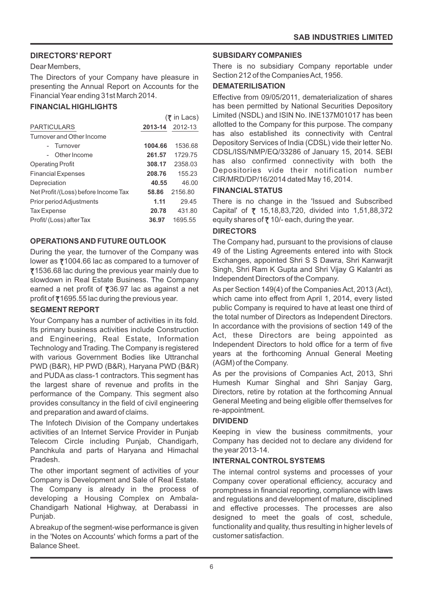## **DIRECTORS' REPORT**

## Dear Members,

The Directors of your Company have pleasure in presenting the Annual Report on Accounts for the Financial Year ending 31st March 2014.

 $\sim$   $\sim$   $\sim$ 

## **FINANCIAL HIGHLIGHTS**

|                                      |         | $(7 \text{ in } \text{Lacs})$ |
|--------------------------------------|---------|-------------------------------|
| <b>PARTICULARS</b>                   | 2013-14 | 2012-13                       |
| Turnover and Other Income            |         |                               |
| - Turnover                           | 1004.66 | 1536.68                       |
| Other Income                         | 261.57  | 1729.75                       |
| <b>Operating Profit</b>              | 308.17  | 2358.03                       |
| <b>Financial Expenses</b>            | 208.76  | 155.23                        |
| Depreciation                         | 40.55   | 46.00                         |
| Net Profit /(Loss) before Income Tax | 58.86   | 2156.80                       |
| Prior period Adjustments             | 1.11    | 29.45                         |
| <b>Tax Expense</b>                   | 20.78   | 431.80                        |
| Profit/ (Loss) after Tax             | 36.97   | 1695.55                       |

## **OPERATIONS AND FUTURE OUTLOOK**

During the year, the turnover of the Company was lower as  $\overline{\tau}$ 1004.66 lac as compared to a turnover of  $\overline{\tau}$ 1536.68 lac during the previous year mainly due to slowdown in Real Estate Business. The Company earned a net profit of  $\overline{\mathfrak{z}}36.97$  lac as against a net profit of  $\bar{\tau}$ 1695.55 lac during the previous year.

## **SEGMENT REPORT**

Your Company has a number of activities in its fold. Its primary business activities include Construction and Engineering, Real Estate, Information Technology and Trading. The Company is registered with various Government Bodies like Uttranchal PWD (B&R), HP PWD (B&R), Haryana PWD (B&R) and PUDAas class-1 contractors. This segment has the largest share of revenue and profits in the performance of the Company. This segment also provides consultancy in the field of civil engineering and preparation and award of claims.

The Infotech Division of the Company undertakes activities of an Internet Service Provider in Punjab Telecom Circle including Punjab, Chandigarh, Panchkula and parts of Haryana and Himachal Pradesh.

The other important segment of activities of your Company is Development and Sale of Real Estate. The Company is already in the process of developing a Housing Complex on Ambala-Chandigarh National Highway, at Derabassi in Punjab.

Abreakup of the segment-wise performance is given in the 'Notes on Accounts' which forms a part of the Balance Sheet.

## **SUBSIDARY COMPANIES**

There is no subsidiary Company reportable under Section 212 of the Companies Act, 1956.

## **DEMATERILISATION**

Effective from 09/05/2011, dematerialization of shares has been permitted by National Securities Depository Limited (NSDL) and ISIN No. INE137M01017 has been allotted to the Company for this purpose. The company has also established its connectivity with Central Depository Services of India (CDSL) vide their letter No. CDSL/ISS/NMP/EQ/33286 of January 15, 2014. SEBI has also confirmed connectivity with both the Depositories vide their notification number CIR/MRD/DP/16/2014 dated May 16, 2014.

## **FINANCIALSTATUS**

There is no change in the 'Issued and Subscribed Capital' of  $\bar{z}$  15,18,83,720, divided into 1,51,88,372 equity shares of  $\bar{\tau}$  10/- each, during the year.

## **DIRECTORS**

The Company had, pursuant to the provisions of clause 49 of the Listing Agreements entered into with Stock Exchanges, appointed Shri S S Dawra, Shri Kanwarjit Singh, Shri Ram K Gupta and Shri Vijay G Kalantri as Independent Directors of the Company.

As per Section 149(4) of the Companies Act, 2013 (Act), which came into effect from April 1, 2014, every listed public Company is required to have at least one third of the total number of Directors as Independent Directors. In accordance with the provisions of section 149 of the Act, these Directors are being appointed as Independent Directors to hold office for a term of five years at the forthcoming Annual General Meeting (AGM) of the Company.

As per the provisions of Companies Act, 2013, Shri Humesh Kumar Singhal and Shri Sanjay Garg, Directors, retire by rotation at the forthcoming Annual General Meeting and being eligible offer themselves for re-appointment.

## **DIVIDEND**

Keeping in view the business commitments, your Company has decided not to declare any dividend for the year 2013-14.

## **INTERNAL CONTROLSYSTEMS**

The internal control systems and processes of your Company cover operational efficiency, accuracy and promptness in financial reporting, compliance with laws and regulations and development of mature, disciplined and effective processes. The processes are also designed to meet the goals of cost, schedule, functionality and quality, thus resulting in higher levels of customer satisfaction.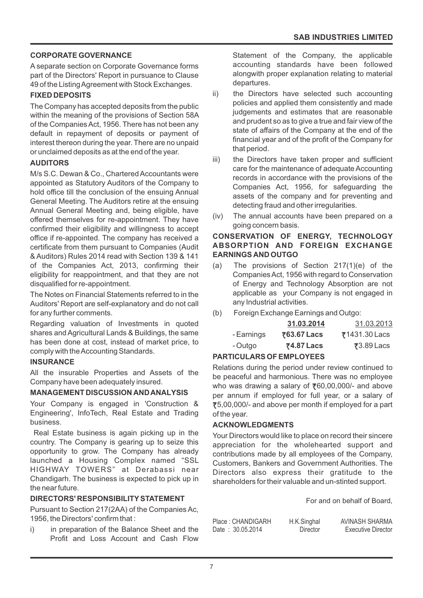## **CORPORATE GOVERNANCE**

A separate section on Corporate Governance forms part of the Directors' Report in pursuance to Clause 49 of the Listing Agreement with Stock Exchanges.

## **FIXED DEPOSITS**

The Company has accepted deposits from the public within the meaning of the provisions of Section 58A of the Companies Act, 1956. There has not been any default in repayment of deposits or payment of interest thereon during the year. There are no unpaid or unclaimed deposits as at the end of the year.

## **AUDITORS**

M/s S.C. Dewan & Co., Chartered Accountants were appointed as Statutory Auditors of the Company to hold office till the conclusion of the ensuing Annual General Meeting. The Auditors retire at the ensuing Annual General Meeting and, being eligible, have offered themselves for re-appointment. They have confirmed their eligibility and willingness to accept office if re-appointed. The company has received a certificate from them pursuant to Companies (Audit & Auditors) Rules 2014 read with Section 139 & 141 of the Companies Act, 2013, confirming their eligibility for reappointment, and that they are not disqualified for re-appointment.

The Notes on Financial Statements referred to in the Auditors' Report are self-explanatory and do not call for any further comments.

Regarding valuation of Investments in quoted shares and Agricultural Lands & Buildings, the same has been done at cost, instead of market price, to comply with the Accounting Standards.

## **INSURANCE**

All the insurable Properties and Assets of the Company have been adequately insured.

## **MANAGEMENT DISCUSSION AND ANALYSIS**

Your Company is engaged in 'Construction & Engineering', InfoTech, Real Estate and Trading business.

Real Estate business is again picking up in the country. The Company is gearing up to seize this opportunity to grow. The Company has already launched a Housing Complex named "SSL HIGHWAY TOWERS" at Derabassi near Chandigarh. The business is expected to pick up in the near future.

## **DIRECTORS' RESPONSIBILITYSTATEMENT**

Pursuant to Section 217(2AA) of the Companies Ac, 1956, the Directors' confirm that :

i) in preparation of the Balance Sheet and the Profit and Loss Account and Cash Flow Statement of the Company, the applicable accounting standards have been followed alongwith proper explanation relating to material departures.

- ii) the Directors have selected such accounting policies and applied them consistently and made judgements and estimates that are reasonable and prudent so as to give a true and fair view of the state of affairs of the Company at the end of the financial year and of the profit of the Company for that period.
- iii) the Directors have taken proper and sufficient care for the maintenance of adequate Accounting records in accordance with the provisions of the Companies Act, 1956, for safeguarding the assets of the company and for preventing and detecting fraud and other irregularities.
- (iv) The annual accounts have been prepared on a going concern basis.

## **CONSERVATION OF ENERGY, TECHNOLOGY ABSORPTION AND FOREIGN EXCHANGE EARNINGS AND OUTGO**

- (a) The provisions of Section 217(1)(e) of the Companies Act, 1956 with regard to Conservation of Energy and Technology Absorption are not applicable as your Company is not engaged in any Industrial activities.
- (b) Foreign Exchange Earnings and Outgo:

|            | 31.03.2014               | 31.03.2013              |
|------------|--------------------------|-------------------------|
| - Earnings | $\overline{6}3.67$ Lacs  | ₹1431.30 Lacs           |
| - Outgo    | $\overline{5}$ 4.87 Lacs | $\overline{3}$ .89 Lacs |

## **PARTICULARS OF EMPLOYEES**

Relations during the period under review continued to be peaceful and harmonious. There was no employee who was drawing a salary of  $\overline{\mathcal{F}}$ 60,00,000/- and above per annum if employed for full year, or a salary of  $\overline{\mathbf{z}}$ 5,00,000/- and above per month if employed for a part of the year.

## **ACKNOWLEDGMENTS**

Your Directors would like to place on record their sincere appreciation for the wholehearted support and contributions made by all employees of the Company, Customers, Bankers and Government Authorities. The Directors also express their gratitude to the shareholders for their valuable and un-stinted support.

For and on behalf of Board,

| Place: CHANDIGARH | H.K.Singhal | AVINASH SHARMA            |
|-------------------|-------------|---------------------------|
| Date: 30.05.2014  | Director    | <b>Executive Director</b> |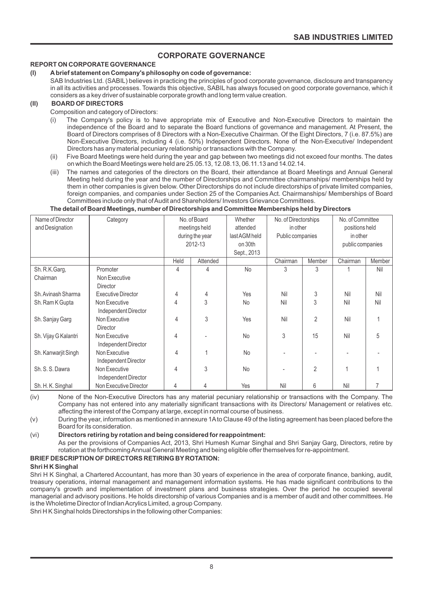## **CORPORATE GOVERNANCE**

#### **REPORT ON CORPORATE GOVERNANCE**

#### **(I) Abrief statement on Company's philosophy on code of governance:**

SAB Industries Ltd. (SABIL) believes in practicing the principles of good corporate governance, disclosure and transparency in all its activities and processes. Towards this objective, SABIL has always focused on good corporate governance, which it considers as a key driver of sustainable corporate growth and long term value creation.

#### **(II) BOARD OF DIRECTORS**

Composition and category of Directors:

- (i) The Company's policy is to have appropriate mix of Executive and Non-Executive Directors to maintain the independence of the Board and to separate the Board functions of governance and management. At Present, the Board of Directors comprises of 8 Directors with a Non-Executive Chairman. Of the Eight Directors, 7 (i.e. 87.5%) are Non-Executive Directors, including 4 (i.e. 50%) Independent Directors. None of the Non-Executive/ Independent Directors has any material pecuniary relationship or transactions with the Company.
- (ii) Five Board Meetings were held during the year and gap between two meetings did not exceed four months. The dates on which the Board Meetings were held are 25.05.13, 12.08.13, 06.11.13 and 14.02.14.
- (iii) The names and categories of the directors on the Board, their attendance at Board Meetings and Annual General Meeting held during the year and the number of Directorships and Committee chairmanships/ memberships held by them in other companies is given below. Other Directorships do not include directorships of private limited companies, foreign companies, and companies under Section 25 of the Companies Act. Chairmanships/ Memberships of Board Committees include only that of Audit and Shareholders/ Investors Grievance Committees.

#### **The detail of Board Meetings, number of Directorships and Committee Memberships held by Directors**

| Name of Director<br>and Designation | Category                              |      | No. of Board<br>meetings held<br>during the year<br>2012-13 | Whether<br>attended<br>last AGM held<br>on 30th<br>Sept., 2013 | No. of Directorships<br>in other<br>Public companies |                | No. of Committee<br>positions held<br>in other<br>public companies |        |
|-------------------------------------|---------------------------------------|------|-------------------------------------------------------------|----------------------------------------------------------------|------------------------------------------------------|----------------|--------------------------------------------------------------------|--------|
|                                     |                                       | Held | Attended                                                    |                                                                | Chairman                                             | Member         | Chairman                                                           | Member |
| Sh. R.K.Garg,                       | Promoter                              | 4    | 4                                                           | <b>No</b>                                                      | 3                                                    | 3              |                                                                    | Nil    |
| Chairman                            | Non Executive                         |      |                                                             |                                                                |                                                      |                |                                                                    |        |
|                                     | <b>Director</b>                       |      |                                                             |                                                                |                                                      |                |                                                                    |        |
| Sh. Avinash Sharma                  | <b>Executive Director</b>             | 4    | 4                                                           | Yes                                                            | Nil                                                  | 3              | Nil                                                                | Nil    |
| Sh. Ram K Gupta                     | Non Executive<br>Independent Director | 4    | 3                                                           | <b>No</b>                                                      | Nil                                                  | 3              | Nil                                                                | Nil    |
| Sh. Sanjay Garg                     | Non Executive                         | 4    | 3                                                           | Yes                                                            | Nil                                                  | $\mathfrak{p}$ | Nil                                                                |        |
|                                     | <b>Director</b>                       |      |                                                             |                                                                |                                                      |                |                                                                    |        |
| Sh. Vijay G Kalantri                | Non Executive                         | 4    |                                                             | <b>No</b>                                                      | 3                                                    | 15             | Nil                                                                | 5      |
|                                     | Independent Director                  |      |                                                             |                                                                |                                                      |                |                                                                    |        |
| Sh. Kanwarjit Singh                 | Non Executive                         | 4    |                                                             | <b>No</b>                                                      |                                                      |                |                                                                    |        |
|                                     | Independent Director                  |      |                                                             |                                                                |                                                      |                |                                                                    |        |
| Sh. S. S. Dawra                     | Non Executive                         | 4    | 3                                                           | <b>No</b>                                                      |                                                      | $\mathfrak{p}$ |                                                                    |        |
|                                     | Independent Director                  |      |                                                             |                                                                |                                                      |                |                                                                    |        |
| Sh. H. K. Singhal                   | Non Executive Director                | 4    | 4                                                           | Yes                                                            | Nil                                                  | 6              | Nil                                                                |        |

(iv) None of the Non-Executive Directors has any material pecuniary relationship or transactions with the Company. The Company has not entered into any materially significant transactions with its Directors/ Management or relatives etc. affecting the interest of the Company at large, except in normal course of business.

(v) During the year, information as mentioned in annexure 1Ato Clause 49 of the listing agreement has been placed before the Board for its consideration.

(vi) **Directors retiring by rotation and being considered for reappointment:**

As per the provisions of Companies Act, 2013, Shri Humesh Kumar Singhal and Shri Sanjay Garg, Directors, retire by rotation at the forthcoming Annual General Meeting and being eligible offer themselves for re-appointment.

#### **BRIEF DESCRIPTION OF DIRECTORS RETIRING BY ROTATION:**

#### **Shri H K Singhal**

Shri H K Singhal, a Chartered Accountant, has more than 30 years of experience in the area of corporate finance, banking, audit, treasury operations, internal management and management information systems. He has made significant contributions to the company's growth and implementation of investment plans and business strategies. Over the period he occupied several managerial and advisory positions. He holds directorship of various Companies and is a member of audit and other committees. He is the Wholetime Director of Indian Acrylics Limited, a group Company.

Shri H K Singhal holds Directorships in the following other Companies: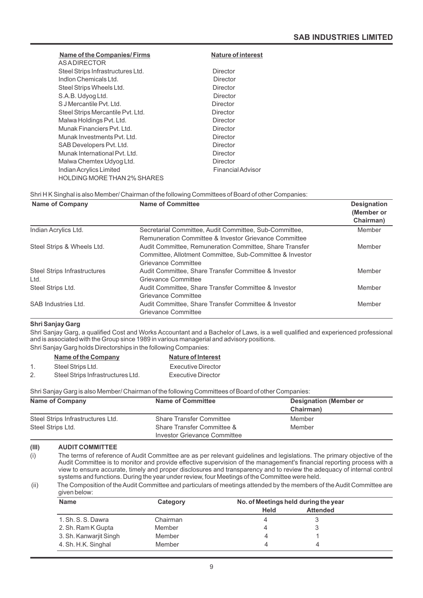## **Name of the Companies/ Firms Nature of interest**

AS ADIRECTOR Steel Strips Infrastructures Ltd. Director Indlon Chemicals Ltd. **Director** Steel Strips Wheels Ltd. **Director** Director S.A.B. Udyog Ltd. **Director** S J Mercantile Pvt. Ltd. **Director** Steel Strips Mercantile Pvt. Ltd. Director Malwa Holdings Pvt. Ltd. Director Munak Financiers Pvt. Ltd. Director Munak Investments Pvt. Ltd. Communist Providence of the Director SAB Developers Pvt. Ltd. Director Munak International Pvt. Ltd. Director Malwa Chemtex Udyog Ltd. **Director** Director Indian Acrylics Limited **Financial Advisor** HOLDING MORE THAN 2% SHARES

Shri H K Singhal is also Member/ Chairman of the following Committees of Board of other Companies:

| <b>Name of Company</b>              | <b>Name of Committee</b>                                                    | <b>Designation</b><br>(Member or<br>Chairman) |
|-------------------------------------|-----------------------------------------------------------------------------|-----------------------------------------------|
| Indian Acrylics Ltd.                | Secretarial Committee, Audit Committee, Sub-Committee,                      | Member                                        |
|                                     | Remuneration Committee & Investor Grievance Committee                       |                                               |
| Steel Strips & Wheels Ltd.          | Audit Committee, Remuneration Committee, Share Transfer                     | Member                                        |
|                                     | Committee, Allotment Committee, Sub-Committee & Investor                    |                                               |
|                                     | Grievance Committee                                                         |                                               |
| <b>Steel Strips Infrastructures</b> | Audit Committee, Share Transfer Committee & Investor                        | Member                                        |
| Ltd.                                | Grievance Committee                                                         |                                               |
| Steel Strips Ltd.                   | Audit Committee, Share Transfer Committee & Investor                        | Member                                        |
|                                     | Grievance Committee                                                         |                                               |
| SAB Industries Ltd.                 | Audit Committee, Share Transfer Committee & Investor<br>Grievance Committee | Member                                        |

#### **Shri Sanjay Garg**

Shri Sanjay Garg, a qualified Cost and Works Accountant and a Bachelor of Laws, is a well qualified and experienced professional and is associated with the Group since 1989 in various managerial and advisory positions.

Shri Sanjay Garg holds Directorships in the following Companies:

|    | Name of the Company               | Nature of Interest        |
|----|-----------------------------------|---------------------------|
| 1. | Steel Strips Ltd.                 | Executive Director        |
| 2. | Steel Strips Infrastructures Ltd. | <b>Executive Director</b> |

Shri Sanjay Garg is also Member/ Chairman of the following Committees of Board of other Companies:

| <b>Name of Company</b>            | <b>Name of Committee</b>        | <b>Designation (Member or</b> |  |  |
|-----------------------------------|---------------------------------|-------------------------------|--|--|
|                                   |                                 | <b>Chairman</b> )             |  |  |
| Steel Strips Infrastructures Ltd. | <b>Share Transfer Committee</b> | Member                        |  |  |
| Steel Strips Ltd.                 | Share Transfer Committee &      | Member                        |  |  |
|                                   | Investor Grievance Committee    |                               |  |  |

#### **(III) AUDIT COMMITTEE**

(i) The terms of reference of Audit Committee are as per relevant guidelines and legislations. The primary objective of the Audit Committee is to monitor and provide effective supervision of the management's financial reporting process with a view to ensure accurate, timely and proper disclosures and transparency and to review the adequacy of internal control systems and functions. During the year under review, four Meetings of the Committee were held.

(ii) The Composition of the Audit Committee and particulars of meetings attended by the members of the Audit Committee are given below:

| <b>Name</b>            | Category | No. of Meetings held during the year |                 |  |
|------------------------|----------|--------------------------------------|-----------------|--|
|                        |          | <b>Held</b>                          | <b>Attended</b> |  |
| 1. Sh. S. S. Dawra     | Chairman |                                      |                 |  |
| 2. Sh. Ram K Gupta     | Member   |                                      |                 |  |
| 3. Sh. Kanwarjit Singh | Member   |                                      |                 |  |
| 4. Sh. H.K. Singhal    | Member   |                                      | 4               |  |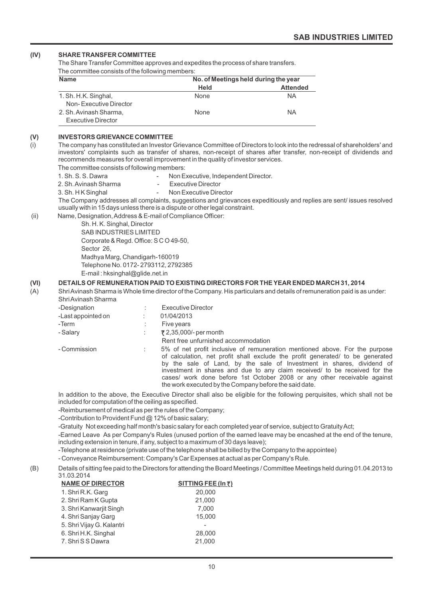| The committee consists of the following members:<br><b>Name</b> |                                                       | No. of Meetings held during the year                                                                   |                                                                                                                                                                                                                                                                                                                                                                                                  |
|-----------------------------------------------------------------|-------------------------------------------------------|--------------------------------------------------------------------------------------------------------|--------------------------------------------------------------------------------------------------------------------------------------------------------------------------------------------------------------------------------------------------------------------------------------------------------------------------------------------------------------------------------------------------|
|                                                                 |                                                       | <b>Held</b>                                                                                            | <b>Attended</b>                                                                                                                                                                                                                                                                                                                                                                                  |
| 1. Sh. H.K. Singhal,                                            |                                                       | None                                                                                                   | <b>NA</b>                                                                                                                                                                                                                                                                                                                                                                                        |
| Non-Executive Director                                          |                                                       |                                                                                                        |                                                                                                                                                                                                                                                                                                                                                                                                  |
| 2. Sh. Avinash Sharma,                                          |                                                       | None                                                                                                   | <b>NA</b>                                                                                                                                                                                                                                                                                                                                                                                        |
| <b>Executive Director</b>                                       |                                                       |                                                                                                        |                                                                                                                                                                                                                                                                                                                                                                                                  |
| <b>INVESTORS GRIEVANCE COMMITTEE</b>                            |                                                       |                                                                                                        |                                                                                                                                                                                                                                                                                                                                                                                                  |
|                                                                 |                                                       | recommends measures for overall improvement in the quality of investor services.                       | The company has constituted an Investor Grievance Committee of Directors to look into the redressal of shareholders' and<br>investors' complaints such as transfer of shares, non-receipt of shares after transfer, non-receipt of dividends and                                                                                                                                                 |
| The committee consists of following members:                    |                                                       |                                                                                                        |                                                                                                                                                                                                                                                                                                                                                                                                  |
| 1. Sh. S. S. Dawra                                              |                                                       | Non Executive, Independent Director.                                                                   |                                                                                                                                                                                                                                                                                                                                                                                                  |
| 2. Sh. Avinash Sharma                                           |                                                       | <b>Executive Director</b>                                                                              |                                                                                                                                                                                                                                                                                                                                                                                                  |
| 3. Sh. HK Singhal                                               |                                                       | Non Executive Director                                                                                 |                                                                                                                                                                                                                                                                                                                                                                                                  |
|                                                                 |                                                       | usually with in 15 days unless there is a dispute or other legal constraint.                           | The Company addresses all complaints, suggestions and grievances expeditiously and replies are sent/ issues resolved                                                                                                                                                                                                                                                                             |
|                                                                 |                                                       | Name, Designation, Address & E-mail of Compliance Officer:                                             |                                                                                                                                                                                                                                                                                                                                                                                                  |
|                                                                 | Sh. H. K. Singhal, Director<br>SAB INDUSTRIES LIMITED |                                                                                                        |                                                                                                                                                                                                                                                                                                                                                                                                  |
|                                                                 |                                                       | Corporate & Regd. Office: SCO49-50,                                                                    |                                                                                                                                                                                                                                                                                                                                                                                                  |
| Sector 26.                                                      |                                                       |                                                                                                        |                                                                                                                                                                                                                                                                                                                                                                                                  |
|                                                                 | Madhya Marg, Chandigarh-160019                        |                                                                                                        |                                                                                                                                                                                                                                                                                                                                                                                                  |
|                                                                 |                                                       | Telephone No. 0172-2793112, 2792385                                                                    |                                                                                                                                                                                                                                                                                                                                                                                                  |
|                                                                 | E-mail: hksinghal@glide.net.in                        |                                                                                                        |                                                                                                                                                                                                                                                                                                                                                                                                  |
|                                                                 |                                                       |                                                                                                        | DETAILS OF REMUNERATION PAID TO EXISTING DIRECTORS FOR THE YEAR ENDED MARCH 31, 2014                                                                                                                                                                                                                                                                                                             |
|                                                                 |                                                       |                                                                                                        | Shri Avinash Sharma is Whole time director of the Company. His particulars and details of remuneration paid is as under:                                                                                                                                                                                                                                                                         |
| Shri Avinash Sharma                                             |                                                       |                                                                                                        |                                                                                                                                                                                                                                                                                                                                                                                                  |
| -Designation                                                    |                                                       | <b>Executive Director</b>                                                                              |                                                                                                                                                                                                                                                                                                                                                                                                  |
| -Last appointed on                                              |                                                       | 01/04/2013                                                                                             |                                                                                                                                                                                                                                                                                                                                                                                                  |
| -Term                                                           |                                                       | Five years                                                                                             |                                                                                                                                                                                                                                                                                                                                                                                                  |
| -Salary                                                         |                                                       | ₹ 2,35,000/- per month                                                                                 |                                                                                                                                                                                                                                                                                                                                                                                                  |
|                                                                 |                                                       | Rent free unfurnished accommodation                                                                    |                                                                                                                                                                                                                                                                                                                                                                                                  |
| - Commission                                                    |                                                       | the work executed by the Company before the said date.                                                 | 5% of net profit inclusive of remuneration mentioned above. For the purpose<br>of calculation, net profit shall exclude the profit generated/ to be generated<br>by the sale of Land, by the sale of Investment in shares, dividend of<br>investment in shares and due to any claim received/ to be received for the<br>cases/ work done before 1st October 2008 or any other receivable against |
|                                                                 |                                                       |                                                                                                        | In addition to the above, the Executive Director shall also be eligible for the following perquisites, which shall not be                                                                                                                                                                                                                                                                        |
| included for computation of the ceiling as specified.           |                                                       |                                                                                                        |                                                                                                                                                                                                                                                                                                                                                                                                  |
|                                                                 |                                                       | -Reimbursement of medical as per the rules of the Company;                                             |                                                                                                                                                                                                                                                                                                                                                                                                  |
|                                                                 |                                                       | -Contribution to Provident Fund @ 12% of basic salary;                                                 |                                                                                                                                                                                                                                                                                                                                                                                                  |
|                                                                 |                                                       |                                                                                                        | -Gratuity Not exceeding half month's basic salary for each completed year of service, subject to Gratuity Act;                                                                                                                                                                                                                                                                                   |
|                                                                 |                                                       |                                                                                                        | -Earned Leave As per Company's Rules (unused portion of the earned leave may be encashed at the end of the tenure,                                                                                                                                                                                                                                                                               |
|                                                                 |                                                       | including extension in tenure, if any, subject to a maximum of 30 days leave);                         |                                                                                                                                                                                                                                                                                                                                                                                                  |
|                                                                 |                                                       | -Telephone at residence (private use of the telephone shall be billed by the Company to the appointee) |                                                                                                                                                                                                                                                                                                                                                                                                  |
|                                                                 |                                                       | - Conveyance Reimbursement: Company's Car Expenses at actual as per Company's Rule.                    |                                                                                                                                                                                                                                                                                                                                                                                                  |
| 31.03.2014                                                      |                                                       |                                                                                                        | Details of sitting fee paid to the Directors for attending the Board Meetings / Committee Meetings held during 01.04.2013 to                                                                                                                                                                                                                                                                     |
| <b>NAME OF DIRECTOR</b>                                         |                                                       | SITTING FEE (In ₹)                                                                                     |                                                                                                                                                                                                                                                                                                                                                                                                  |
| 1. Shri R.K. Garg                                               |                                                       | 20,000                                                                                                 |                                                                                                                                                                                                                                                                                                                                                                                                  |
| 2. Shri Ram K Gupta                                             |                                                       | 21,000                                                                                                 |                                                                                                                                                                                                                                                                                                                                                                                                  |
| 3. Shri Kanwarjit Singh                                         |                                                       | 7,000                                                                                                  |                                                                                                                                                                                                                                                                                                                                                                                                  |
| 4. Shri Sanjay Garg                                             |                                                       | 15,000                                                                                                 |                                                                                                                                                                                                                                                                                                                                                                                                  |
| 5. Shri Vijay G. Kalantri                                       |                                                       |                                                                                                        |                                                                                                                                                                                                                                                                                                                                                                                                  |
| 6. Shri H.K. Singhal                                            |                                                       | 28,000                                                                                                 |                                                                                                                                                                                                                                                                                                                                                                                                  |
| 7. Shri S S Dawra                                               |                                                       | 21,000                                                                                                 |                                                                                                                                                                                                                                                                                                                                                                                                  |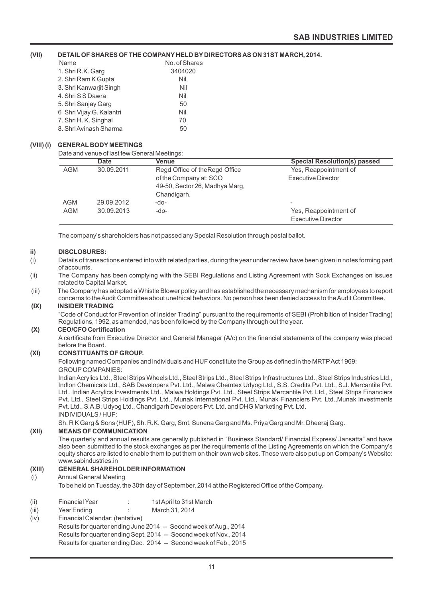#### **(VII) DETAILOF SHARES OF THE COMPANY HELD BY DIRECTORS AS ON 31ST MARCH, 2014.**

| Name                     | No. of Shares |
|--------------------------|---------------|
| 1. Shri R.K. Garg        | 3404020       |
| 2. Shri Ram K Gupta      | Nil           |
| 3. Shri Kanwarjit Singh  | Nil           |
| 4. Shri S S Dawra        | Nil           |
| 5. Shri Sanjay Garg      | 50            |
| 6 Shri Vijay G. Kalantri | Nil           |
| 7. Shri H. K. Singhal    | 70            |
| 8. Shri Avinash Sharma   | 50            |

#### **(VIII) (i) GENERAL BODY MEETINGS** Date and venue of last few General Meetings:

|            | <b>Date</b> | Venue                          | <b>Special Resolution(s) passed</b> |
|------------|-------------|--------------------------------|-------------------------------------|
| AGM        | 30.09.2011  | Regd Office of the Regd Office | Yes, Reappointment of               |
|            |             | of the Company at: SCO         | <b>Executive Director</b>           |
|            |             | 49-50, Sector 26, Madhya Marg, |                                     |
|            |             | Chandigarh.                    |                                     |
| AGM        | 29.09.2012  | -do-                           |                                     |
| <b>AGM</b> | 30.09.2013  | -do-                           | Yes, Reappointment of               |
|            |             |                                | <b>Executive Director</b>           |

The company's shareholders has not passed any Special Resolution through postal ballot.

#### **ii) DISCLOSURES:**

- (i) Details of transactions entered into with related parties, during the year under review have been given in notes forming part of accounts.
- (ii) The Company has been complying with the SEBI Regulations and Listing Agreement with Sock Exchanges on issues related to Capital Market.
- (iii) The Company has adopted a Whistle Blower policy and has established the necessary mechanism for employees to report concerns to the Audit Committee about unethical behaviors. No person has been denied access to the Audit Committee.

#### **(IX) INSIDER TRADING**

"Code of Conduct for Prevention of Insider Trading" pursuant to the requirements of SEBI (Prohibition of Insider Trading) Regulations, 1992, as amended, has been followed by the Company through out the year.

#### **(X) CEO/CFO Certification**

A certificate from Executive Director and General Manager (A/c) on the financial statements of the company was placed before the Board.

#### **(XI) CONSTITUANTS OF GROUP.**

Following named Companies and individuals and HUF constitute the Group as defined in the MRTPAct 1969: GROUP COMPANIES:

Indian Acrylics Ltd., Steel Strips Wheels Ltd., Steel Strips Ltd., Steel Strips Infrastructures Ltd., Steel Strips Industries Ltd., Indlon Chemicals Ltd., SAB Developers Pvt. Ltd., Malwa Chemtex Udyog Ltd., S.S. Credits Pvt. Ltd., S.J. Mercantile Pvt. Ltd., Indian Acrylics Investments Ltd., Malwa Holdings Pvt. Ltd., Steel Strips Mercantile Pvt. Ltd., Steel Strips Financiers Pvt. Ltd., Steel Strips Holdings Pvt. Ltd., Munak International Pvt. Ltd., Munak Financiers Pvt. Ltd.,Munak Investments Pvt. Ltd., S.A.B. Udyog Ltd., Chandigarh Developers Pvt. Ltd. and DHG Marketing Pvt. Ltd. INDIVIDUALS / HUF:

Sh. R K Garg & Sons (HUF), Sh. R.K. Garg, Smt. Sunena Garg and Ms. Priya Garg and Mr. Dheeraj Garg.

### **(XII) MEANS OF COMMUNICATION**

The quarterly and annual results are generally published in "Business Standard/ Financial Express/ Jansatta" and have also been submitted to the stock exchanges as per the requirements of the Listing Agreements on which the Company's equity shares are listed to enable them to put them on their own web sites. These were also put up on Company's Website: www.sabindustries.in

#### **(XIII) GENERALSHAREHOLDER INFORMATION**

(i) Annual General Meeting

To be held on Tuesday, the 30th day of September, 2014 at the Registered Office of the Company.

- (ii) Financial Year : 1st April to 31st March
- (iii) Year Ending : March 31, 2014
- (iv) Financial Calendar: (tentative)

 Results for quarter ending June 2014 -- Second week of Aug., 2014 Results for quarter ending Sept. 2014 -- Second week of Nov., 2014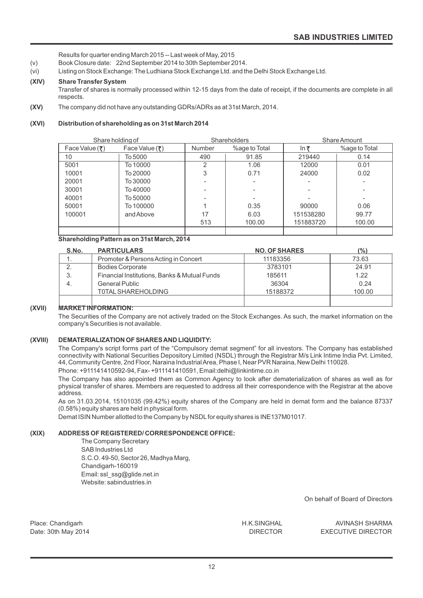Results for quarter ending March 2015 -- Last week of May, 2015

- (v) Book Closure date: 22nd September 2014 to 30th September 2014.
- (vi) Listing on Stock Exchange: The Ludhiana Stock Exchange Ltd. and the Delhi Stock Exchange Ltd.

#### **(XIV) Share Transfer System**

Transfer of shares is normally processed within 12-15 days from the date of receipt, if the documents are complete in all respects.

**(XV)** The company did not have any outstanding GDRs/ADRs as at 31st March, 2014.

#### **(XVI) Distribution of shareholding as on 31st March 2014**

| Share holding of          |                           |               | <b>Shareholders</b><br>Share Amount |           |               |
|---------------------------|---------------------------|---------------|-------------------------------------|-----------|---------------|
| Face Value $(\bar{\tau})$ | Face Value $(\bar{\tau})$ | <b>Number</b> | %age to Total                       | In₹       | %age to Total |
| 10                        | To 5000                   | 490           | 91.85                               | 219440    | 0.14          |
| 5001                      | To 10000                  | 2             | 1.06                                | 12000     | 0.01          |
| 10001                     | To 20000                  | 3             | 0.71                                | 24000     | 0.02          |
| 20001                     | To 30000                  |               |                                     |           |               |
| 30001                     | To 40000                  |               |                                     |           |               |
| 40001                     | To 50000                  |               |                                     |           | ۰             |
| 50001                     | To 100000                 |               | 0.35                                | 90000     | 0.06          |
| 100001                    | and Above                 | 17            | 6.03                                | 151538280 | 99.77         |
|                           |                           | 513           | 100.00                              | 151883720 | 100.00        |
|                           |                           |               |                                     |           |               |

#### **Shareholding Pattern as on 31st March, 2014**

| S.No. | <b>PARTICULARS</b>                           | <b>NO. OF SHARES</b> | (%)    |
|-------|----------------------------------------------|----------------------|--------|
|       | Promoter & Persons Acting in Concert         | 11183356             | 73.63  |
|       | <b>Bodies Corporate</b>                      | 3783101              | 24.91  |
| -3.   | Financial Institutions, Banks & Mutual Funds | 185611               | 1.22   |
| 4.    | General Public                               | 36304                | 0.24   |
|       | T0TAL SHAREHOLDING                           | 15188372             | 100.00 |
|       |                                              |                      |        |

### **(XVII) MARKET INFORMATION:**

The Securities of the Company are not actively traded on the Stock Exchanges. As such, the market information on the company's Securities is not available.

#### **(XVIII) DEMATERIALIZATION OF SHARES AND LIQUIDITY:**

The Company's script forms part of the "Compulsory demat segment" for all investors. The Company has established connectivity with National Securities Depository Limited (NSDL) through the Registrar M/s Link Intime India Pvt. Limited, 44, Community Centre, 2nd Floor, Naraina Industrial Area, Phase I, Near PVR Naraina, New Delhi 110028. Phone: +911141410592-94, Fax- +911141410591, Email:delhi@linkintime.co.in

The Company has also appointed them as Common Agency to look after dematerialization of shares as well as for physical transfer of shares. Members are requested to address all their correspondence with the Registrar at the above address.

As on 31.03.2014, 15101035 (99.42%) equity shares of the Company are held in demat form and the balance 87337 (0.58%) equity shares are held in physical form.

Demat ISIN Number allotted to the Company by NSDLfor equity shares is INE137M01017.

#### **(XIX) ADDRESS OF REGISTERED/ CORRESPONDENCE OFFICE:**

The Company Secretary SAB Industries Ltd S.C.O. 49-50, Sector 26, Madhya Marg, Chandigarh-160019 Email: ssl\_ssg@glide.net.in Website: sabindustries.in

On behalf of Board of Directors

Place: Chandigarh **H.K.SINGHAL AVINASH SHARMA** Date: 30th May 2014 **Director Controller EXECUTIVE DIRECTOR** EXECUTIVE DIRECTOR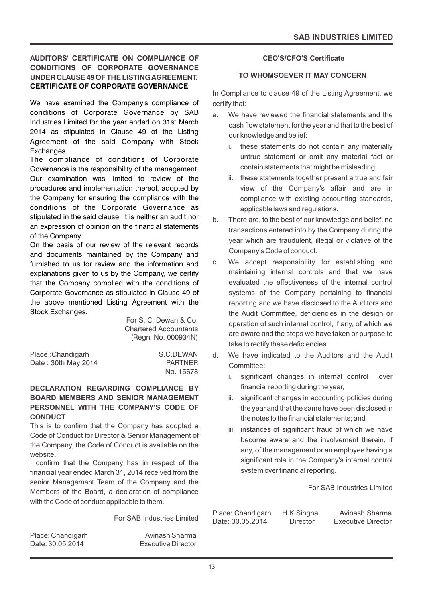## **AUDITORS' CERTIFICATE ON COMPLIANCE OF CONDITIONS OF CORPORATE GOVERNANCE UNDER CLAUSE 49 OF THE LISTING AGREEMENT. CERTIFICATE OF CORPORATE GOVERNANCE**

We have examined the Company's compliance of conditions of Corporate Governance by SAB Industries Limited for the year ended on 31st March 2014 as stipulated in Clause 49 of the Listing Agreement of the said Company with Stock Exchanges.

The compliance of conditions of Corporate Governance is the responsibility of the management. Our examination was limited to review of the procedures and implementation thereof, adopted by the Company for ensuring the compliance with the conditions of the Corporate Governance as stipulated in the said clause. It is neither an audit nor an expression of opinion on the financial statements of the Company.

On the basis of our review of the relevant records and documents maintained by the Company and furnished to us for review and the information and explanations given to us by the Company, we certify that the Company complied with the conditions of Corporate Governance as stipulated in Clause 49 of the above mentioned Listing Agreement with the Stock Exchanges.

For S. C. Dewan & Co. Chartered Accountants (Regn. No. 000934N)

| Place: Chandigarh   | S.C.DEWAN      |
|---------------------|----------------|
| Date: 30th May 2014 | <b>PARTNER</b> |
|                     | No. 15678      |

## **DECLARATION REGARDING COMPLIANCE BY BOARD MEMBERS AND SENIOR MANAGEMENT PERSONNEL WITH THE COMPANY'S CODE OF CONDUCT**

This is to confirm that the Company has adopted a Code of Conduct for Director & Senior Management of the Company, the Code of Conduct is available on the website.

I confirm that the Company has in respect of the financial year ended March 31, 2014 received from the senior Management Team of the Company and the Members of the Board, a declaration of compliance with the Code of conduct applicable to them.

For SAB Industries Limited

| Place: Chandigarh | Avinash Sharma            |
|-------------------|---------------------------|
| Date: 30.05.2014  | <b>Executive Director</b> |

## **CEO'S/CFO'S Certificate**

## **TO WHOMSOEVER IT MAY CONCERN**

In Compliance to clause 49 of the Listing Agreement, we certify that:

- a. We have reviewed the financial statements and the cash flow statement for the year and that to the best of our knowledge and belief:
	- i. these statements do not contain any materially untrue statement or omit any material fact or contain statements that might be misleading;
	- ii. these statements together present a true and fair view of the Company's affair and are in compliance with existing accounting standards, applicable laws and regulations.
- b. There are, to the best of our knowledge and belief, no transactions entered into by the Company during the year which are fraudulent, illegal or violative of the Company's Code of conduct.
- c. We accept responsibility for establishing and maintaining internal controls and that we have evaluated the effectiveness of the internal control systems of the Company pertaining to financial reporting and we have disclosed to the Auditors and the Audit Committee, deficiencies in the design or operation of such internal control, if any, of which we are aware and the steps we have taken or purpose to take to rectify these deficiencies.
- d. We have indicated to the Auditors and the Audit Committee:
	- i. significant changes in internal control over financial reporting during the year,
	- ii. significant changes in accounting policies during the year and that the same have been disclosed in the notes to the financial statements; and
	- iii. instances of significant fraud of which we have become aware and the involvement therein, if any, of the management or an employee having a significant role in the Company's internal control system over financial reporting.

For SAB Industries Limited

| Place: Chandigarh | H K Singhal | Avinash Sharma            |
|-------------------|-------------|---------------------------|
| Date: 30.05.2014  | Director    | <b>Executive Director</b> |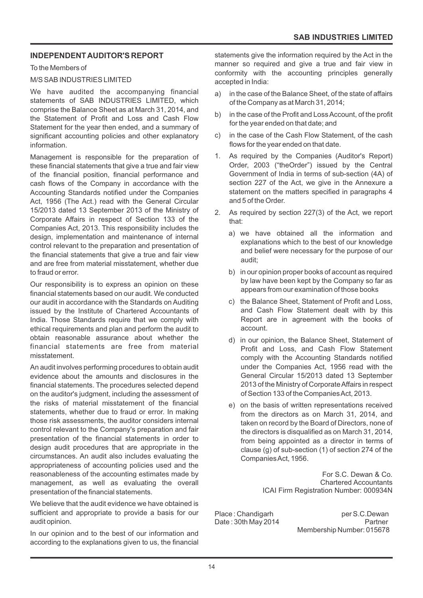## **INDEPENDENT AUDITOR'S REPORT**

#### To the Members of

#### M/S SAB INDUSTRIES LIMITED

We have audited the accompanying financial statements of SAB INDUSTRIES LIMITED, which comprise the Balance Sheet as at March 31, 2014, and the Statement of Profit and Loss and Cash Flow Statement for the year then ended, and a summary of significant accounting policies and other explanatory information.

Management is responsible for the preparation of these financial statements that give a true and fair view of the financial position, financial performance and cash flows of the Company in accordance with the Accounting Standards notified under the Companies Act, 1956 (The Act.) read with the General Circular 15/2013 dated 13 September 2013 of the Ministry of Corporate Affairs in respect of Section 133 of the Companies Act, 2013. This responsibility includes the design, implementation and maintenance of internal control relevant to the preparation and presentation of the financial statements that give a true and fair view and are free from material misstatement, whether due to fraud or error.

Our responsibility is to express an opinion on these financial statements based on our audit. We conducted our audit in accordance with the Standards on Auditing issued by the Institute of Chartered Accountants of India. Those Standards require that we comply with ethical requirements and plan and perform the audit to obtain reasonable assurance about whether the financial statements are free from material misstatement.

An audit involves performing procedures to obtain audit evidence about the amounts and disclosures in the financial statements. The procedures selected depend on the auditor's judgment, including the assessment of the risks of material misstatement of the financial statements, whether due to fraud or error. In making those risk assessments, the auditor considers internal control relevant to the Company's preparation and fair presentation of the financial statements in order to design audit procedures that are appropriate in the circumstances. An audit also includes evaluating the appropriateness of accounting policies used and the reasonableness of the accounting estimates made by management, as well as evaluating the overall presentation of the financial statements.

We believe that the audit evidence we have obtained is sufficient and appropriate to provide a basis for our audit opinion.

In our opinion and to the best of our information and according to the explanations given to us, the financial statements give the information required by the Act in the manner so required and give a true and fair view in conformity with the accounting principles generally accepted in India:

- a) in the case of the Balance Sheet, of the state of affairs of the Company as at March 31, 2014;
- b) in the case of the Profit and Loss Account, of the profit for the year ended on that date; and
- c) in the case of the Cash Flow Statement, of the cash flows for the year ended on that date.
- 1. As required by the Companies (Auditor's Report) Order, 2003 ("theOrder") issued by the Central Government of India in terms of sub-section (4A) of section 227 of the Act, we give in the Annexure a statement on the matters specified in paragraphs 4 and 5 of the Order.
- 2. As required by section 227(3) of the Act, we report that:
	- a) we have obtained all the information and explanations which to the best of our knowledge and belief were necessary for the purpose of our audit;
	- b) in our opinion proper books of account as required by law have been kept by the Company so far as appears from our examination of those books
	- c) the Balance Sheet, Statement of Profit and Loss, and Cash Flow Statement dealt with by this Report are in agreement with the books of account.
	- d) in our opinion, the Balance Sheet, Statement of Profit and Loss, and Cash Flow Statement comply with the Accounting Standards notified under the Companies Act, 1956 read with the General Circular 15/2013 dated 13 September 2013 of the Ministry of Corporate Affairs in respect of Section 133 of the Companies Act, 2013.
	- e) on the basis of written representations received from the directors as on March 31, 2014, and taken on record by the Board of Directors, none of the directors is disqualified as on March 31, 2014, from being appointed as a director in terms of clause (g) of sub-section (1) of section 274 of the Companies Act, 1956.

For S.C. Dewan & Co. Chartered Accountants ICAI Firm Registration Number: 000934N

Place : Chandigarh per S.C.Dewan Date: 30th May 2014 **Partner** Membership Number: 015678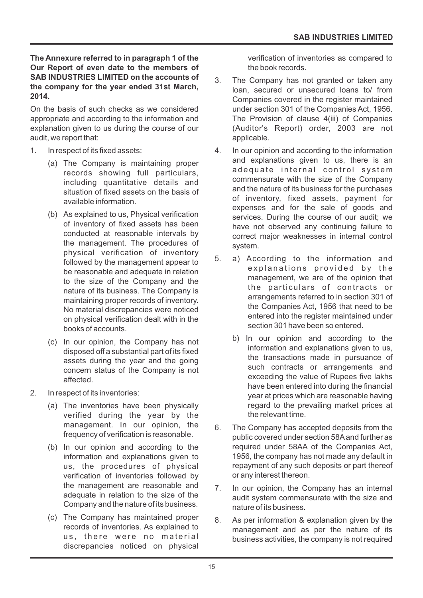**The Annexure referred to in paragraph 1 of the Our Report of even date to the members of SAB INDUSTRIES LIMITED on the accounts of the company for the year ended 31st March, 2014.**

On the basis of such checks as we considered appropriate and according to the information and explanation given to us during the course of our audit, we report that:

- 1. In respect of its fixed assets:
	- (a) The Company is maintaining proper records showing full particulars, including quantitative details and situation of fixed assets on the basis of available information.
	- (b) As explained to us, Physical verification of inventory of fixed assets has been conducted at reasonable intervals by the management. The procedures of physical verification of inventory followed by the management appear to be reasonable and adequate in relation to the size of the Company and the nature of its business. The Company is maintaining proper records of inventory. No material discrepancies were noticed on physical verification dealt with in the books of accounts.
	- (c) In our opinion, the Company has not disposed off a substantial part of its fixed assets during the year and the going concern status of the Company is not affected.
- 2. In respect of its inventories:
	- (a) The inventories have been physically verified during the year by the management. In our opinion, the frequency of verification is reasonable.
	- (b) In our opinion and according to the information and explanations given to us, the procedures of physical verification of inventories followed by the management are reasonable and adequate in relation to the size of the Company and the nature of its business.
	- (c) The Company has maintained proper records of inventories. As explained to us, there were no material discrepancies noticed on physical

verification of inventories as compared to the book records.

- 3. The Company has not granted or taken any loan, secured or unsecured loans to/ from Companies covered in the register maintained under section 301 of the Companies Act, 1956. The Provision of clause 4(iii) of Companies (Auditor's Report) order, 2003 are not applicable.
- 4. In our opinion and according to the information and explanations given to us, there is an ad e quate internal control system commensurate with the size of the Company and the nature of its business for the purchases of inventory, fixed assets, payment for expenses and for the sale of goods and services. During the course of our audit; we have not observed any continuing failure to correct major weaknesses in internal control system.
- 5. a) According to the information and explanations provided by the management, we are of the opinion that the particulars of contracts or arrangements referred to in section 301 of the Companies Act, 1956 that need to be entered into the register maintained under section 301 have been so entered.
	- b) In our opinion and according to the information and explanations given to us, the transactions made in pursuance of such contracts or arrangements and exceeding the value of Rupees five lakhs have been entered into during the financial year at prices which are reasonable having regard to the prevailing market prices at the relevant time.
- 6. The Company has accepted deposits from the public covered under section 58Aand further as required under 58AA of the Companies Act, 1956, the company has not made any default in repayment of any such deposits or part thereof or any interest thereon.
- 7. In our opinion, the Company has an internal audit system commensurate with the size and nature of its business.
- 8. As per information & explanation given by the management and as per the nature of its business activities, the company is not required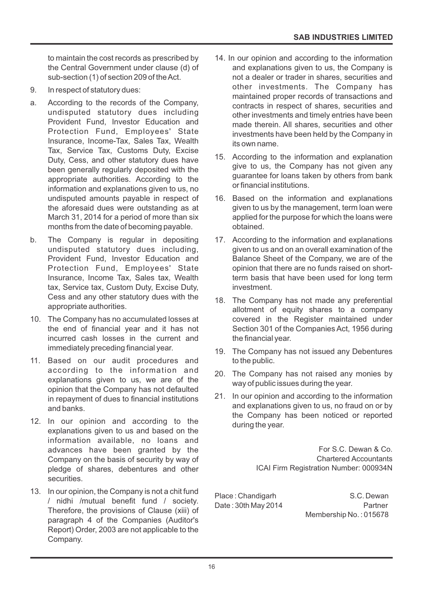to maintain the cost records as prescribed by the Central Government under clause (d) of sub-section (1) of section 209 of the Act.

- 9. In respect of statutory dues:
- a. According to the records of the Company, undisputed statutory dues including Provident Fund, Investor Education and Protection Fund, Employees' State Insurance, Income-Tax, Sales Tax, Wealth Tax, Service Tax, Customs Duty, Excise Duty, Cess, and other statutory dues have been generally regularly deposited with the appropriate authorities. According to the information and explanations given to us, no undisputed amounts payable in respect of the aforesaid dues were outstanding as at March 31, 2014 for a period of more than six months from the date of becoming payable.
- b. The Company is regular in depositing undisputed statutory dues including, Provident Fund, Investor Education and Protection Fund, Employees' State Insurance, Income Tax, Sales tax, Wealth tax, Service tax, Custom Duty, Excise Duty, Cess and any other statutory dues with the appropriate authorities.
- 10. The Company has no accumulated losses at the end of financial year and it has not incurred cash losses in the current and immediately preceding financial year.
- 11. Based on our audit procedures and according to the information and explanations given to us, we are of the opinion that the Company has not defaulted in repayment of dues to financial institutions and banks.
- 12. In our opinion and according to the explanations given to us and based on the information available, no loans and advances have been granted by the Company on the basis of security by way of pledge of shares, debentures and other securities.
- 13. In our opinion, the Company is not a chit fund / nidhi /mutual benefit fund / society. Therefore, the provisions of Clause (xiii) of paragraph 4 of the Companies (Auditor's Report) Order, 2003 are not applicable to the Company.
- 14. In our opinion and according to the information and explanations given to us, the Company is not a dealer or trader in shares, securities and other investments. The Company has maintained proper records of transactions and contracts in respect of shares, securities and other investments and timely entries have been made therein. All shares, securities and other investments have been held by the Company in its own name.
- 15. According to the information and explanation give to us, the Company has not given any guarantee for loans taken by others from bank or financial institutions.
- 16. Based on the information and explanations given to us by the management, term loan were applied for the purpose for which the loans were obtained.
- 17. According to the information and explanations given to us and on an overall examination of the Balance Sheet of the Company, we are of the opinion that there are no funds raised on shortterm basis that have been used for long term investment.
- 18. The Company has not made any preferential allotment of equity shares to a company covered in the Register maintained under Section 301 of the Companies Act, 1956 during the financial year.
- 19. The Company has not issued any Debentures to the public.
- 20. The Company has not raised any monies by way of public issues during the year.
- 21. In our opinion and according to the information and explanations given to us, no fraud on or by the Company has been noticed or reported during the year.

For S.C. Dewan & Co. Chartered Accountants ICAI Firm Registration Number: 000934N

Place : Chandigarh S.C. Dewan Date: 30th May 2014 **Partner** Membership No. : 015678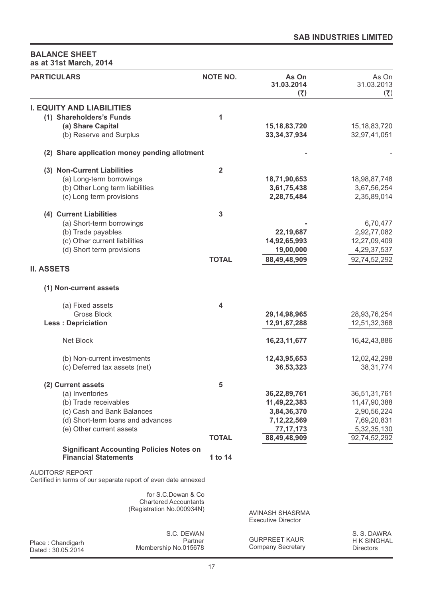## **BALANCE SHEET as at 31st March, 2014**

| <b>PARTICULARS</b>                     |                                                                                 | <b>NOTE NO.</b> | As On<br>31.03.2014<br>(₹)                       | As On<br>31.03.2013<br>$(\overline{\mathbf{z}})$ |
|----------------------------------------|---------------------------------------------------------------------------------|-----------------|--------------------------------------------------|--------------------------------------------------|
| <b>I. EQUITY AND LIABILITIES</b>       |                                                                                 |                 |                                                  |                                                  |
| (1) Shareholders's Funds               |                                                                                 | 1               |                                                  |                                                  |
| (a) Share Capital                      |                                                                                 |                 | 15, 18, 83, 720                                  | 15, 18, 83, 720                                  |
| (b) Reserve and Surplus                |                                                                                 |                 | 33, 34, 37, 934                                  | 32,97,41,051                                     |
|                                        | (2) Share application money pending allotment                                   |                 |                                                  |                                                  |
| (3) Non-Current Liabilities            |                                                                                 | $\overline{2}$  |                                                  |                                                  |
| (a) Long-term borrowings               |                                                                                 |                 | 18,71,90,653                                     | 18,98,87,748                                     |
| (b) Other Long term liabilities        |                                                                                 |                 | 3,61,75,438                                      | 3,67,56,254                                      |
| (c) Long term provisions               |                                                                                 |                 | 2,28,75,484                                      | 2,35,89,014                                      |
| (4) Current Liabilities                |                                                                                 | 3               |                                                  |                                                  |
| (a) Short-term borrowings              |                                                                                 |                 |                                                  | 6,70,477                                         |
| (b) Trade payables                     |                                                                                 |                 | 22,19,687                                        | 2,92,77,082                                      |
| (c) Other current liabilities          |                                                                                 |                 | 14,92,65,993                                     | 12,27,09,409                                     |
| (d) Short term provisions              |                                                                                 |                 | 19,00,000                                        | 4,29,37,537                                      |
| <b>II. ASSETS</b>                      |                                                                                 | <b>TOTAL</b>    | 88,49,48,909                                     | 92,74,52,292                                     |
| (1) Non-current assets                 |                                                                                 |                 |                                                  |                                                  |
| (a) Fixed assets                       |                                                                                 | 4               |                                                  |                                                  |
| <b>Gross Block</b>                     |                                                                                 |                 | 29, 14, 98, 965                                  | 28,93,76,254                                     |
| <b>Less: Depriciation</b>              |                                                                                 |                 | 12,91,87,288                                     | 12,51,32,368                                     |
| Net Block                              |                                                                                 |                 | 16,23,11,677                                     | 16,42,43,886                                     |
| (b) Non-current investments            |                                                                                 |                 | 12,43,95,653                                     | 12,02,42,298                                     |
| (c) Deferred tax assets (net)          |                                                                                 |                 | 36,53,323                                        | 38, 31, 774                                      |
| (2) Current assets                     |                                                                                 | 5               |                                                  |                                                  |
| (a) Inventories                        |                                                                                 |                 | 36,22,89,761                                     | 36,51,31,761                                     |
| (b) Trade receivables                  |                                                                                 |                 | 11,49,22,383                                     | 11,47,90,388                                     |
| (c) Cash and Bank Balances             |                                                                                 |                 | 3,84,36,370                                      | 2,90,56,224                                      |
|                                        | (d) Short-term loans and advances                                               |                 | 7, 12, 22, 569                                   | 7,69,20,831                                      |
| (e) Other current assets               |                                                                                 | <b>TOTAL</b>    | 77, 17, 173<br>88,49,48,909                      | 5,32,35,130<br>92,74,52,292                      |
|                                        | <b>Significant Accounting Policies Notes on</b>                                 |                 |                                                  |                                                  |
| <b>Financial Statements</b>            |                                                                                 | 1 to 14         |                                                  |                                                  |
| <b>AUDITORS' REPORT</b>                | Certified in terms of our separate report of even date annexed                  |                 |                                                  |                                                  |
|                                        | for S.C.Dewan & Co<br><b>Chartered Accountants</b><br>(Registration No.000934N) |                 |                                                  |                                                  |
|                                        |                                                                                 |                 | AVINASH SHASRMA<br><b>Executive Director</b>     |                                                  |
|                                        | S.C. DEWAN                                                                      |                 |                                                  | S. S. DAWRA                                      |
| Place: Chandigarh<br>Dated: 30.05.2014 | Partner<br>Membership No.015678                                                 |                 | <b>GURPREET KAUR</b><br><b>Company Secretary</b> | <b>H K SINGHAL</b><br><b>Directors</b>           |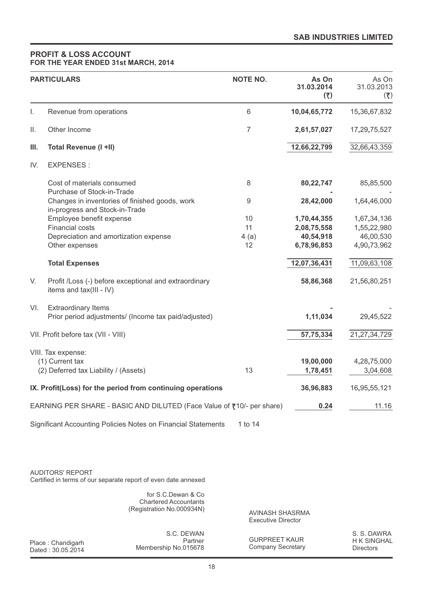## **PROFIT & LOSS ACCOUNT FOR THE YEAR ENDED 31st MARCH, 2014**

|     | <b>PARTICULARS</b>                                                               | <b>NOTE NO.</b> | As On<br>31.03.2014<br>(₹) | As On<br>31.03.2013<br>$(\overline{\mathbf{z}})$ |
|-----|----------------------------------------------------------------------------------|-----------------|----------------------------|--------------------------------------------------|
| Ι.  | Revenue from operations                                                          | $6\,$           | 10,04,65,772               | 15,36,67,832                                     |
| ΙΙ. | Other Income                                                                     | $\overline{7}$  | 2,61,57,027                | 17,29,75,527                                     |
| Ш.  | <b>Total Revenue (I +II)</b>                                                     |                 | 12,66,22,799               | 32,66,43,359                                     |
| IV. | <b>EXPENSES:</b>                                                                 |                 |                            |                                                  |
|     | Cost of materials consumed<br>Purchase of Stock-in-Trade                         | 8               | 80,22,747                  | 85,85,500                                        |
|     | Changes in inventories of finished goods, work<br>in-progress and Stock-in-Trade | $9\,$           | 28,42,000                  | 1,64,46,000                                      |
|     | Employee benefit expense                                                         | 10              | 1,70,44,355                | 1,67,34,136                                      |
|     | <b>Financial costs</b>                                                           | 11              | 2,08,75,558                | 1,55,22,980                                      |
|     | Depreciation and amortization expense                                            | 4(a)            | 40,54,918                  | 46,00,530                                        |
|     | Other expenses                                                                   | 12              | 6,78,96,853                | 4,90,73,962                                      |
|     | <b>Total Expenses</b>                                                            |                 | 12,07,36,431               | 11,09,63,108                                     |
| V.  | Profit /Loss (-) before exceptional and extraordinary<br>items and tax(III - IV) |                 | 58,86,368                  | 21,56,80,251                                     |
| VI. | <b>Extraordinary Items</b>                                                       |                 |                            |                                                  |
|     | Prior period adjustments/ (Income tax paid/adjusted)                             |                 | 1,11,034                   | 29,45,522                                        |
|     | VII. Profit before tax (VII - VIII)                                              |                 | 57,75,334                  | 21,27,34,729                                     |
|     | VIII. Tax expense:                                                               |                 |                            |                                                  |
|     | (1) Current tax                                                                  |                 | 19,00,000                  | 4,28,75,000                                      |
|     | (2) Deferred tax Liability / (Assets)                                            | 13              | 1,78,451                   | 3,04,608                                         |
|     | IX. Profit(Loss) for the period from continuing operations                       |                 | 36,96,883                  | 16,95,55,121                                     |
|     | EARNING PER SHARE - BASIC AND DILUTED (Face Value of ₹10/- per share)            |                 | 0.24                       | 11.16                                            |
|     | Significant Accounting Policies Notes on Financial Statements                    | 1 to 14         |                            |                                                  |

AUDITORS' REPORT Certified in terms of our separate report of even date annexed

> for S.C.Dewan & Co Chartered Accountants (Registration No.000934N)

> > S.C. DEWAN Partner

AVINASH SHASRMA Executive Director

GURPREET KAUR Company Secretary

S. S. DAWRA H K SINGHAL **Directors** 

 Place : Chandigarh Dated : 30.05.2014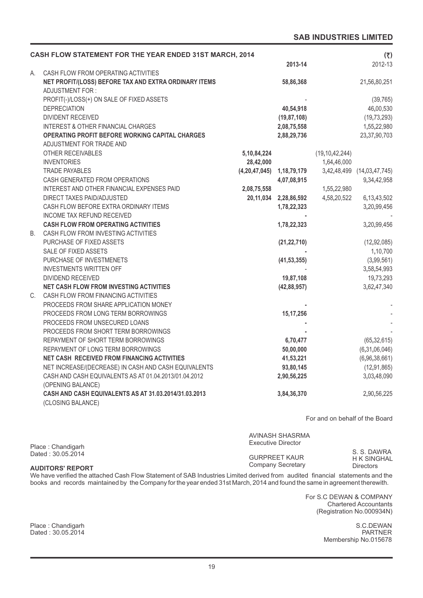## **SAB INDUSTRIES LIMITED**

|         | CASH FLOW STATEMENT FOR THE YEAR ENDED 31ST MARCH, 2014 |                             |                       |                   | (5)                        |
|---------|---------------------------------------------------------|-----------------------------|-----------------------|-------------------|----------------------------|
|         |                                                         |                             | 2013-14               |                   | 2012-13                    |
| А.      | CASH FLOW FROM OPERATING ACTIVITIES                     |                             |                       |                   |                            |
|         | NET PROFIT/(LOSS) BEFORE TAX AND EXTRA ORDINARY ITEMS   |                             | 58,86,368             |                   | 21,56,80,251               |
|         | <b>ADJUSTMENT FOR:</b>                                  |                             |                       |                   |                            |
|         | PROFIT(-)/LOSS(+) ON SALE OF FIXED ASSETS               |                             |                       |                   | (39, 765)                  |
|         | <b>DEPRECIATION</b>                                     |                             | 40,54,918             |                   | 46,00,530                  |
|         | <b>DIVIDENT RECEIVED</b>                                |                             | (19, 87, 108)         |                   | (19, 73, 293)              |
|         | <b>INTEREST &amp; OTHER FINANCIAL CHARGES</b>           |                             | 2,08,75,558           |                   | 1,55,22,980                |
|         | OPERATING PROFIT BEFORE WORKING CAPITAL CHARGES         |                             | 2,88,29,736           |                   | 23,37,90,703               |
|         | ADJUSTMENT FOR TRADE AND                                |                             |                       |                   |                            |
|         | <b>OTHER RECEIVABLES</b>                                | 5,10,84,224                 |                       | (19, 10, 42, 244) |                            |
|         | <b>INVENTORIES</b>                                      | 28,42,000                   |                       | 1,64,46,000       |                            |
|         | <b>TRADE PAYABLES</b>                                   | $(4,20,47,045)$ 1,18,79,179 |                       |                   | 3,42,48,499 (14,03,47,745) |
|         | CASH GENERATED FROM OPERATIONS                          |                             | 4,07,08,915           |                   | 9,34,42,958                |
|         | INTEREST AND OTHER FINANCIAL EXPENSES PAID              | 2,08,75,558                 |                       | 1,55,22,980       |                            |
|         | <b>DIRECT TAXES PAID/ADJUSTED</b>                       |                             | 20,11,034 2,28,86,592 | 4,58,20,522       | 6,13,43,502                |
|         | CASH FLOW BEFORE EXTRA ORDINARY ITEMS                   |                             | 1,78,22,323           |                   | 3,20,99,456                |
|         | INCOME TAX REFUND RECEIVED                              |                             |                       |                   |                            |
|         | <b>CASH FLOW FROM OPERATING ACTIVITIES</b>              |                             | 1,78,22,323           |                   | 3,20,99,456                |
| B.      | CASH FLOW FROM INVESTING ACTIVITIES                     |                             |                       |                   |                            |
|         | PURCHASE OF FIXED ASSETS                                |                             | (21, 22, 710)         |                   | (12, 92, 085)              |
|         | SALE OF FIXED ASSETS                                    |                             |                       |                   | 1,10,700                   |
|         | PURCHASE OF INVESTMENETS                                |                             | (41, 53, 355)         |                   | (3,99,561)                 |
|         | <b>INVESTMENTS WRITTEN OFF</b>                          |                             |                       |                   | 3,58,54,993                |
|         | <b>DIVIDEND RECEIVED</b>                                |                             | 19,87,108             |                   | 19,73,293                  |
|         | NET CASH FLOW FROM INVESTING ACTIVITIES                 |                             | (42, 88, 957)         |                   | 3,62,47,340                |
| $C_{1}$ | CASH FLOW FROM FINANCING ACTIVITIES                     |                             |                       |                   |                            |
|         | PROCEEDS FROM SHARE APPLICATION MONEY                   |                             |                       |                   |                            |
|         | PROCEEDS FROM LONG TERM BORROWINGS                      |                             | 15, 17, 256           |                   |                            |
|         | PROCEEDS FROM UNSECURED LOANS                           |                             |                       |                   |                            |
|         | PROCEEDS FROM SHORT TERM BORROWINGS                     |                             |                       |                   |                            |
|         | REPAYMENT OF SHORT TERM BORROWINGS                      |                             | 6,70,477              |                   | (65, 32, 615)              |
|         | REPAYMENT OF LONG TERM BORROWINGS                       |                             | 50,00,000             |                   | (6,31,06,046)              |
|         | <b>NET CASH RECEIVED FROM FINANCING ACTIVITIES</b>      |                             | 41,53,221             |                   | (6,96,38,661)              |
|         | NET INCREASE/(DECREASE) IN CASH AND CASH EQUIVALENTS    |                             | 93,80,145             |                   | (12, 91, 865)              |
|         | CASH AND CASH EQUIVALENTS AS AT 01.04.2013/01.04.2012   |                             | 2,90,56,225           |                   | 3,03,48,090                |
|         | (OPENING BALANCE)                                       |                             |                       |                   |                            |
|         | CASH AND CASH EQUIVALENTS AS AT 31.03.2014/31.03.2013   |                             | 3,84,36,370           |                   | 2,90,56,225                |
|         | (CLOSING BALANCE)                                       |                             |                       |                   |                            |

For and on behalf of the Board

| Place: Chandigarh<br>Dated: 30.05.2014 | AVINASH SHASRMA<br>Executive Director |                            |  |
|----------------------------------------|---------------------------------------|----------------------------|--|
|                                        | <b>GURPREET KAUR</b>                  | S. S. DAWRA<br>H K SINGHAL |  |
| <b>AUDITORS' REPORT</b>                | Company Secretary                     | <b>Directors</b>           |  |

We have verified the attached Cash Flow Statement of SAB Industries Limited derived from audited financial statements and the books and records maintained by the Company for the year ended 31st March, 2014 and found the same in agreement therewith.

> For S.C DEWAN & COMPANY Chartered Accountants (Registration No.000934N)

Place : Chandigarh S.C.DEWAN Membership No.015678

 $Dated : 30.05.2014$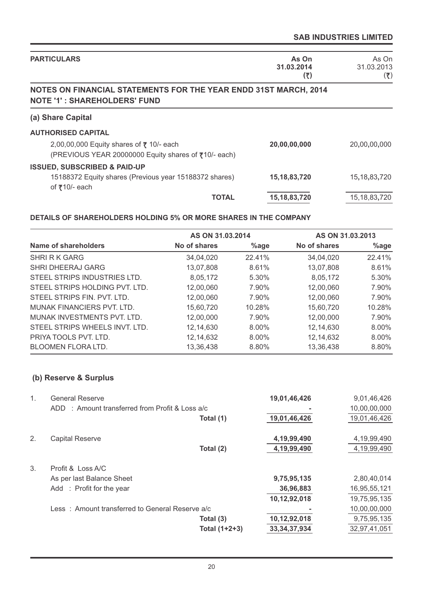| <b>PARTICULARS</b>                                                                                      | As On<br>31.03.2014<br>(₹) | As On<br>31.03.2013<br>$(\overline{\mathbf{z}})$ |
|---------------------------------------------------------------------------------------------------------|----------------------------|--------------------------------------------------|
| NOTES ON FINANCIAL STATEMENTS FOR THE YEAR ENDD 31ST MARCH, 2014<br><b>NOTE '1': SHAREHOLDERS' FUND</b> |                            |                                                  |
| (a) Share Capital                                                                                       |                            |                                                  |
| <b>AUTHORISED CAPITAL</b>                                                                               |                            |                                                  |
| 2,00,00,000 Equity shares of ₹ 10/- each<br>(PREVIOUS YEAR 20000000 Equity shares of ₹10/- each)        | 20,00,00,000               | 20,00,00,000                                     |
| <b>ISSUED, SUBSCRIBED &amp; PAID-UP</b>                                                                 |                            |                                                  |
| 15188372 Equity shares (Previous year 15188372 shares)<br>of $\overline{\tau}$ 10/- each                | 15, 18, 83, 720            | 15, 18, 83, 720                                  |
| <b>TOTAL</b>                                                                                            | 15, 18, 83, 720            | 15, 18, 83, 720                                  |

## **DETAILS OF SHAREHOLDERS HOLDING 5% OR MORE SHARES IN THE COMPANY**

|                                   | AS ON 31.03.2014 |        | AS ON 31.03.2013 |        |
|-----------------------------------|------------------|--------|------------------|--------|
| Name of shareholders              | No of shares     | %age   | No of shares     | %age   |
| <b>SHRI R K GARG</b>              | 34,04,020        | 22.41% | 34,04,020        | 22.41% |
| SHRI DHEERAJ GARG                 | 13,07,808        | 8.61%  | 13,07,808        | 8.61%  |
| STEEL STRIPS INDUSTRIES LTD.      | 8,05,172         | 5.30%  | 8,05,172         | 5.30%  |
| STEEL STRIPS HOLDING PVT. LTD.    | 12,00,060        | 7.90%  | 12,00,060        | 7.90%  |
| STEEL STRIPS FIN. PVT. LTD.       | 12,00,060        | 7.90%  | 12,00,060        | 7.90%  |
| <b>MUNAK FINANCIERS PVT. LTD.</b> | 15,60,720        | 10.28% | 15,60,720        | 10.28% |
| MUNAK INVESTMENTS PVT. LTD.       | 12,00,000        | 7.90%  | 12,00,000        | 7.90%  |
| STEEL STRIPS WHEELS INVT. LTD.    | 12,14,630        | 8.00%  | 12,14,630        | 8.00%  |
| PRIYA TOOLS PVT. LTD.             | 12,14,632        | 8.00%  | 12,14,632        | 8.00%  |
| <b>BLOOMEN FLORALTD.</b>          | 13,36,438        | 8.80%  | 13,36,438        | 8.80%  |

## **(b) Reserve & Surplus**

| 1. | <b>General Reserve</b>                          |               | 19,01,46,426    | 9,01,46,426    |
|----|-------------------------------------------------|---------------|-----------------|----------------|
|    | ADD: Amount transferred from Profit & Loss a/c  |               |                 | 10,00,00,000   |
|    |                                                 | Total (1)     | 19,01,46,426    | 19,01,46,426   |
| 2. | <b>Capital Reserve</b>                          |               | 4,19,99,490     | 4, 19, 99, 490 |
|    |                                                 | Total (2)     | 4,19,99,490     | 4,19,99,490    |
| 3. | Profit & Loss A/C                               |               |                 |                |
|    | As per last Balance Sheet                       |               | 9,75,95,135     | 2,80,40,014    |
|    | Add: Profit for the year                        |               | 36,96,883       | 16,95,55,121   |
|    |                                                 |               | 10,12,92,018    | 19,75,95,135   |
|    | Less: Amount transferred to General Reserve a/c |               |                 | 10,00,00,000   |
|    |                                                 | Total (3)     | 10,12,92,018    | 9,75,95,135    |
|    |                                                 | Total (1+2+3) | 33, 34, 37, 934 | 32,97,41,051   |
|    |                                                 |               |                 |                |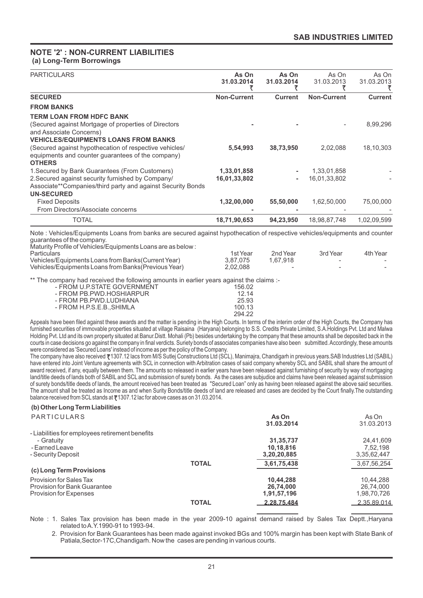### **NOTE '2' : NON-CURRENT LIABILITIES (a) Long-Term Borrowings**

| <b>PARTICULARS</b>                                                                                                                                                                      | As On<br>31.03.2014         | As On<br>31.03.2014 | As On<br>31.03.2013         | As On<br>31.03.2013 |
|-----------------------------------------------------------------------------------------------------------------------------------------------------------------------------------------|-----------------------------|---------------------|-----------------------------|---------------------|
| <b>SECURED</b>                                                                                                                                                                          | <b>Non-Current</b>          | <b>Current</b>      | <b>Non-Current</b>          | <b>Current</b>      |
| <b>FROM BANKS</b>                                                                                                                                                                       |                             |                     |                             |                     |
| <b>TERM LOAN FROM HDFC BANK</b><br>(Secured against Mortgage of properties of Directors<br>and Associate Concerns)                                                                      |                             |                     |                             | 8,99,296            |
| <b>VEHICLES/EQUIPMENTS LOANS FROM BANKS</b><br>(Secured against hypothecation of respective vehicles/<br>equipments and counter guarantees of the company)<br><b>OTHERS</b>             | 5,54,993                    | 38,73,950           | 2,02,088                    | 18,10,303           |
| 1. Secured by Bank Guarantees (From Customers)<br>2. Secured against security furnished by Company/<br>Associate**Companies/third party and against Security Bonds<br><b>UN-SECURED</b> | 1,33,01,858<br>16,01,33,802 |                     | 1,33,01,858<br>16,01,33,802 |                     |
| <b>Fixed Deposits</b><br>From Directors/Associate concerns                                                                                                                              | 1,32,00,000                 | 55,50,000           | 1,62,50,000                 | 75,00,000           |
| <b>TOTAL</b>                                                                                                                                                                            | 18,71,90,653                | 94,23,950           | 18,98,87,748                | 1,02,09,599         |

Note : Vehicles/Equipments Loans from banks are secured against hypothecation of respective vehicles/equipments and counter guarantees of the company.

Maturity Profile of Vehicles/Equipments Loans are as below :

| <b>Particulars</b>                                   | 1st Year | 2nd Year                 | 3rd Year | 4th Year |
|------------------------------------------------------|----------|--------------------------|----------|----------|
| Vehicles/Equipments Loans from Banks (Current Year)  | 3.87.075 | 1.67.918                 |          |          |
| Vehicles/Equipments Loans from Banks (Previous Year) | 2.02.088 | $\overline{\phantom{a}}$ |          |          |
|                                                      |          |                          |          |          |

\*\* The company had received the following amounts in earlier years against the claims :-

| - FROM U.P.STATE GOVERNMENT | 156.02 |
|-----------------------------|--------|
| - FROM PB.PWD.HOSHIARPUR    | 12.14  |
| - FROM PB.PWD.LUDHIANA      | 25.93  |
| - FROM H.P.S.E.BSHIMLA      | 100.13 |
|                             | 294.22 |
|                             |        |

Appeals have been filed against these awards and the matter is pending in the High Courts. In terms of the interim order of the High Courts, the Company has furnished securities of immovable properties situated at village Raisaina (Haryana) belonging to S.S. Credits Private Limited, S.A.Holdings Pvt. Ltd and Malwa Holding Pvt. Ltd and its own property situated at Banur.Distt. Mohali (Pb) besides undertaking by the company that these amounts shall be deposited back in the courts in case decisions go against the company in final verdicts. Suriety bonds of associates companies have also been submitted. Accordingly, these amounts were considered as 'Secured Loans' instead of income as per the policy of the Company.

The company have also received s1307.12 lacs from M/S Sutlej Constructions Ltd (SCL), Manimajra, Chandigarh in previous years.SAB Industries Ltd (SABIL) have entered into Joint Venture agreements with SCL in connection with Arbitration cases of said company whereby SCL and SABIL shall share the amount of award received, if any, equally between them. The amounts so released in earlier years have been released against furnishing of security by way of mortgaging land/title deeds of lands both of SABIL and SCL and submission of surety bonds. As the cases are subjudice and claims have been released against submission of surety bonds/title deeds of lands, the amount received has been treated as "Secured Loan" only as having been released against the above said securities. The amount shall be treated as Income as and when Surity Bonds/title deeds of land are released and cases are decided by the Court finally.The outstanding balance received from SCL stands at ₹1307.12 lac for above cases as on 31.03.2014.

#### **(b) Other Long Term Liabilities**

| PARTICULARS                                                                                           |              | As On<br>31.03.2014                                  | As On<br>31.03.2013                                  |
|-------------------------------------------------------------------------------------------------------|--------------|------------------------------------------------------|------------------------------------------------------|
| - Liabilities for employees retirement benefits<br>- Gratuity<br>- Earned Leave<br>- Security Deposit |              | 31, 35, 737<br>10,18,816<br>3,20,20,885              | 24,41,609<br>7.52.198<br>3,35,62,447                 |
|                                                                                                       | <b>TOTAL</b> | 3,61,75,438                                          | 3,67,56,254                                          |
| (c) Long Term Provisions                                                                              |              |                                                      |                                                      |
| Provision for Sales Tax<br><b>Provision for Bank Guarantee</b><br><b>Provision for Expenses</b>       | <b>TOTAL</b> | 10.44.288<br>26,74,000<br>1,91,57,196<br>2.28.75.484 | 10.44.288<br>26,74,000<br>1,98,70,726<br>2.35.89.014 |

Note : 1. Sales Tax provision has been made in the year 2009-10 against demand raised by Sales Tax Deptt.,Haryana related to A.Y.1990-91 to 1993-94.

2. Provision for Bank Guarantees has been made against invoked BGs and 100% margin has been kept with State Bank of Patiala,Sector-17C,Chandigarh. Now the cases are pending in various courts.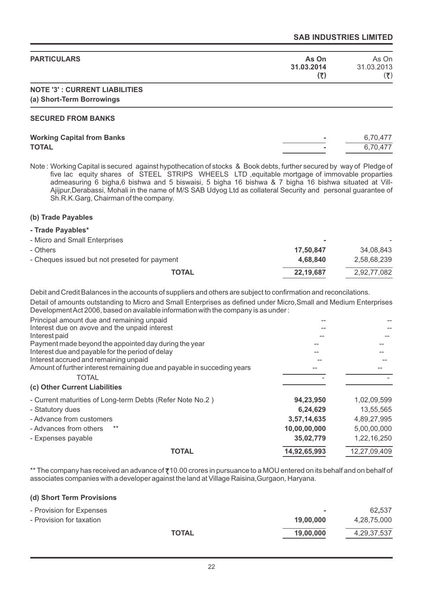| <b>SAB INDUSTRIES LIMITED</b> |  |
|-------------------------------|--|
|-------------------------------|--|

| <b>PARTICULARS</b>                   | As On<br>31.03.2014<br>(₹) | As On<br>31.03.2013<br>(₹) |
|--------------------------------------|----------------------------|----------------------------|
| <b>NOTE '3': CURRENT LIABILITIES</b> |                            |                            |
| (a) Short-Term Borrowings            |                            |                            |

#### **SECURED FROM BANKS**

| <b>Working Capital from Banks</b> |  | 6.70.477 |
|-----------------------------------|--|----------|
| <b>TOTAL</b>                      |  | 6,70,477 |

Note : Working Capital is secured against hypothecation of stocks & Book debts, further secured by way of Pledge of five lac equity shares of STEEL STRIPS WHEELS LTD , equitable mortgage of immovable proparties admeasuring 6 bigha,6 bishwa and 5 biswaisi, 5 bigha 16 bishwa & 7 bigha 16 bishwa situated at Vill-Ajijpur,Derabassi, Mohali in the name of M/S SAB Udyog Ltd as collateral Security and personal guarantee of Sh.R.K.Garg, Chairman of the company.

#### **(b) Trade Payables**

### **- Trade Payables\***

- Micro and Small Enterprises **-** -

| .<br>- Others                                 | 17.50.847 | 34,08,843   |
|-----------------------------------------------|-----------|-------------|
| - Cheques issued but not preseted for payment | 4.68.840  | 2,58,68,239 |
| <b>TOTAL</b>                                  | 22,19,687 | 2,92,77,082 |

Debit and Credit Balances in the accounts of suppliers and others are subject to confirmation and reconcilations.

Detail of amounts outstanding to Micro and Small Enterprises as defined under Micro,Small and Medium Enterprises Development Act 2006, based on available information with the company is as under :

| Principal amount due and remaining unpaid                               |              |              |
|-------------------------------------------------------------------------|--------------|--------------|
| Interest due on avove and the unpaid interest                           |              |              |
| Interest paid                                                           |              |              |
| Payment made beyond the appointed day during the year                   |              |              |
| Interest due and payable for the period of delay                        |              |              |
| Interest accrued and remaining unpaid                                   |              |              |
| Amount of further interest remaining due and payable in succeding years |              |              |
| <b>TOTAL</b>                                                            |              |              |
| (c) Other Current Liabilities                                           |              |              |
| - Current maturities of Long-term Debts (Refer Note No.2)               | 94,23,950    | 1,02,09,599  |
| - Statutory dues                                                        | 6,24,629     | 13,55,565    |
| - Advance from customers                                                | 3,57,14,635  | 4,89,27,995  |
| $***$<br>- Advances from others                                         | 10,00,00,000 | 5,00,00,000  |
| - Expenses payable                                                      | 35,02,779    | 1,22,16,250  |
| <b>TOTAL</b>                                                            | 14,92,65,993 | 12,27,09,409 |

\*\* The company has received an advance of  $\overline{r}10.00$  crores in pursuance to a MOU entered on its behalf and on behalf of associates companies with a developer against the land at Village Raisina,Gurgaon, Haryana.

### **(d) Short Term Provisions**

| - Provision for Expenses | $\sim$    | 62.537      |
|--------------------------|-----------|-------------|
| - Provision for taxation | 19,00,000 | 4.28.75.000 |
| <b>TOTAL</b>             | 19,00,000 | 4.29.37.537 |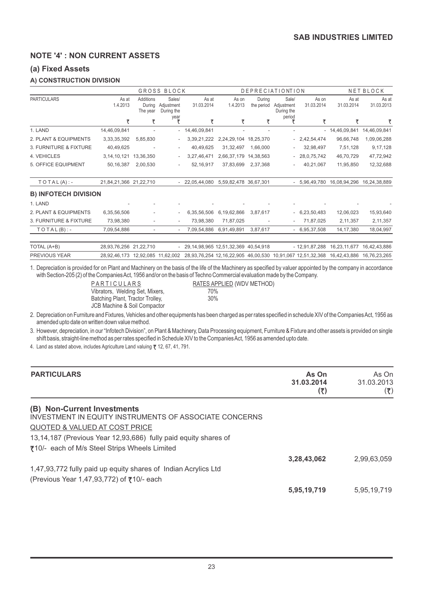## **NOTE '4' : NON CURRENT ASSETS**

## **(a) Fixed Assets**

### **A) CONSTRUCTION DIVISION**

|                             |                                  |                                 | GROSS BLOCK                        |                                                            |                       | <b>DEPRECIATIONTION</b> |                                   |                     |                     | NET BLOCK           |
|-----------------------------|----------------------------------|---------------------------------|------------------------------------|------------------------------------------------------------|-----------------------|-------------------------|-----------------------------------|---------------------|---------------------|---------------------|
| <b>PARTICULARS</b>          | As at<br>1.4.2013                | Additions<br>During<br>The year | Sales/<br>Adjustment<br>During the | As at<br>31.03.2014                                        | As on<br>1.4.2013     | During<br>the period    | Sale/<br>Adjustment<br>During the | As on<br>31.03.2014 | As at<br>31.03.2014 | As at<br>31.03.2013 |
|                             | ₹                                | ₹                               | year<br>₹                          | ₹                                                          | ₹                     | ₹                       | period<br>₹                       | ₹                   | ₹                   | ₹                   |
| 1. LAND                     | 14,46,09,841                     |                                 |                                    | $-14,46,09,841$                                            |                       |                         |                                   |                     | $-14,46,09,841$     | 14,46,09,841        |
| 2. PLANT & EQUIPMENTS       | 3, 33, 35, 392                   | 5,85,830                        |                                    | 3,39,21,222                                                | 2,24,29,104 18,25,370 |                         | ٠                                 | 2,42,54,474         | 96,66,748           | 1,09,06,288         |
| 3. FURNITURE & FIXTURE      | 40,49,625                        |                                 |                                    | 40.49.625                                                  | 31,32,497             | 1,66,000                | $\overline{\phantom{0}}$          | 32.98.497           | 7,51,128            | 9,17,128            |
| 4. VEHICLES                 | 3, 14, 10, 121                   | 13,36,350                       |                                    | 3,27,46,471                                                | 2,66,37,179           | 14,38,563               | ٠                                 | 28,0,75,742         | 46,70,729           | 47,72,942           |
| <b>5. OFFICE EQUIPMENT</b>  | 50,16,387                        | 2,00,530                        |                                    | 52,16,917                                                  | 37,83,699             | 2.37.368                | $\overline{\phantom{0}}$          | 40,21,067           | 11,95,850           | 12,32,688           |
| $TOTAL(A)$ :-               | 21,84,21,366 21,22,710           |                                 |                                    | $-22,05,44,080$                                            | 5,59,82,478 36,67,301 |                         |                                   | $-5,96,49,780$      | 16,08,94,296        | 16,24,38,889        |
| <b>B) INFOTECH DIVISION</b> |                                  |                                 |                                    |                                                            |                       |                         |                                   |                     |                     |                     |
| 1. LAND                     |                                  |                                 |                                    |                                                            |                       |                         |                                   |                     |                     |                     |
| 2. PLANT & EQUIPMENTS       | 6,35,56,506                      |                                 |                                    | 6,35,56,506                                                | 6,19,62,866           | 3,87,617                |                                   | $-6,23,50,483$      | 12,06,023           | 15,93,640           |
| 3. FURNITURE & FIXTURE      | 73,98,380                        |                                 |                                    | 73,98,380                                                  | 71,87,025             |                         | ٠                                 | 71,87,025           | 2,11,357            | 2, 11, 357          |
| $TOTAL(B)$ :-               | 7,09,54,886                      | $\sim$                          |                                    | 7,09,54,886                                                | 6,91,49,891           | 3,87,617                |                                   | $-6,95,37,508$      | 14, 17, 380         | 18,04,997           |
| TOTAL (A+B)                 | 28,93,76,256 21,22,710           |                                 |                                    | - 29,14,98,965 12,51,32,369 40,54,918                      |                       |                         |                                   | $-12,91,87,288$     | 16,23,11,677        | 16,42,43,886        |
| PREVIOUS YEAR               | 28,92,46,173 12,92,085 11,62,002 |                                 |                                    | 28,93,76,254 12,16,22,905 46,00,530 10,91,067 12,51,32,368 |                       |                         |                                   |                     | 16.42.43.886        | 16.76.23.265        |

1. Depreciation is provided for on Plant and Machinery on the basis of the life of the Machinery as specified by valuer appointed by the company in accordance with Section-205 (2) of the Companies Act, 1956 and/or on the basis of Techno Commercial evaluation made by the Company.

PARTICULARS<br>Vibrators, Welding Set, Mixers,  $\frac{RATES APPLIED}{70\%}$  (WDV METHOD) Vibrators, Welding Set, Mixers, 70%<br>Batching Plant, Tractor Trolley, 30% Batching Plant, Tractor Trolley, JCB Machine & Soil Compactor

2. Depreciation on Furniture and Fixtures, Vehicles and other equipments has been charged as per rates specified in schedule XIV of the Companies Act, 1956 as amended upto date on written down value method.

3. However, depreciation, in our "Infotech Division", on Plant & Machinery, Data Processing equipment, Furniture & Fixture and other assets is provided on single shift basis, straight-line method as per rates specified in Schedule XIV to the Companies Act, 1956 as amended upto date.

4. Land as stated above, includes Agriculture Land valuing  $\bar{\tau}$  12, 67, 41, 791.

| <b>PARTICULARS</b>                                                                           | As On<br>31.03.2014<br>(₹) | As On<br>31.03.2013<br>$(\overline{\mathbf{z}})$ |
|----------------------------------------------------------------------------------------------|----------------------------|--------------------------------------------------|
| (B) Non-Current Investments<br><b>INVESTMENT IN EQUITY INSTRUMENTS OF ASSOCIATE CONCERNS</b> |                            |                                                  |
| <b>QUOTED &amp; VALUED AT COST PRICE</b>                                                     |                            |                                                  |
| 13,14,187 (Previous Year 12,93,686) fully paid equity shares of                              |                            |                                                  |
| ₹10/- each of M/s Steel Strips Wheels Limited                                                |                            |                                                  |
|                                                                                              | 3,28,43,062                | 2,99,63,059                                      |
| 1,47,93,772 fully paid up equity shares of Indian Acrylics Ltd                               |                            |                                                  |
| (Previous Year 1,47,93,772) of ₹10/- each                                                    |                            |                                                  |
|                                                                                              | 5,95,19,719                | 5,95,19,719                                      |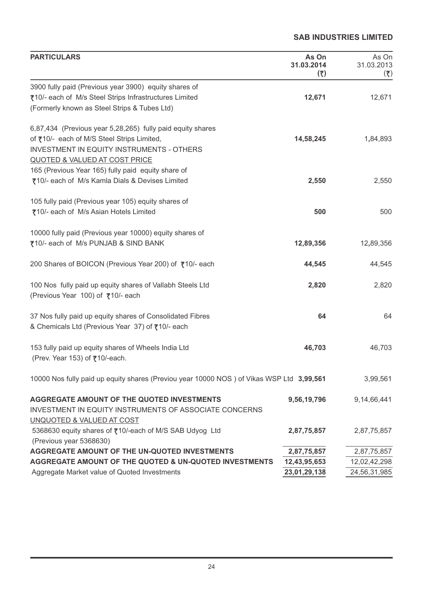## **SAB INDUSTRIES LIMITED**

| <b>PARTICULARS</b>                                                                       | As On<br>31.03.2014<br>(₹) | As On<br>31.03.2013<br>$(\overline{\mathbf{t}})$ |
|------------------------------------------------------------------------------------------|----------------------------|--------------------------------------------------|
| 3900 fully paid (Previous year 3900) equity shares of                                    |                            |                                                  |
| ₹10/- each of M/s Steel Strips Infrastructures Limited                                   | 12,671                     | 12,671                                           |
| (Formerly known as Steel Strips & Tubes Ltd)                                             |                            |                                                  |
| 6,87,434 (Previous year 5,28,265) fully paid equity shares                               |                            |                                                  |
| of ₹10/- each of M/S Steel Strips Limited,                                               | 14,58,245                  | 1,84,893                                         |
| <b>INVESTMENT IN EQUITY INSTRUMENTS - OTHERS</b>                                         |                            |                                                  |
| <b>QUOTED &amp; VALUED AT COST PRICE</b>                                                 |                            |                                                  |
| 165 (Previous Year 165) fully paid equity share of                                       |                            |                                                  |
| ₹10/- each of M/s Kamla Dials & Devises Limited                                          | 2,550                      | 2,550                                            |
| 105 fully paid (Previous year 105) equity shares of                                      |                            |                                                  |
| ₹10/- each of M/s Asian Hotels Limited                                                   | 500                        | 500                                              |
| 10000 fully paid (Previous year 10000) equity shares of                                  |                            |                                                  |
| ₹10/- each of M/s PUNJAB & SIND BANK                                                     | 12,89,356                  | 12,89,356                                        |
| 200 Shares of BOICON (Previous Year 200) of ₹10/- each                                   | 44,545                     | 44,545                                           |
| 100 Nos fully paid up equity shares of Vallabh Steels Ltd                                | 2,820                      | 2,820                                            |
| (Previous Year 100) of ₹10/- each                                                        |                            |                                                  |
| 37 Nos fully paid up equity shares of Consolidated Fibres                                | 64                         | 64                                               |
| & Chemicals Ltd (Previous Year 37) of ₹10/- each                                         |                            |                                                  |
| 153 fully paid up equity shares of Wheels India Ltd                                      | 46,703                     | 46,703                                           |
| (Prev. Year 153) of ₹10/-each.                                                           |                            |                                                  |
| 10000 Nos fully paid up equity shares (Previou year 10000 NOS) of Vikas WSP Ltd 3,99,561 |                            | 3,99,561                                         |
| AGGREGATE AMOUNT OF THE QUOTED INVESTMENTS                                               | 9,56,19,796                | 9,14,66,441                                      |
| <b>INVESTMENT IN EQUITY INSTRUMENTS OF ASSOCIATE CONCERNS</b>                            |                            |                                                  |
| <b>UNQUOTED &amp; VALUED AT COST</b>                                                     |                            |                                                  |
| 5368630 equity shares of ₹10/-each of M/S SAB Udyog Ltd                                  | 2,87,75,857                | 2,87,75,857                                      |
| (Previous year 5368630)                                                                  |                            |                                                  |
| AGGREGATE AMOUNT OF THE UN-QUOTED INVESTMENTS                                            | 2,87,75,857                | 2,87,75,857                                      |
| AGGREGATE AMOUNT OF THE QUOTED & UN-QUOTED INVESTMENTS                                   | 12,43,95,653               | 12,02,42,298                                     |
| Aggregate Market value of Quoted Investments                                             | 23,01,29,138               | 24,56,31,985                                     |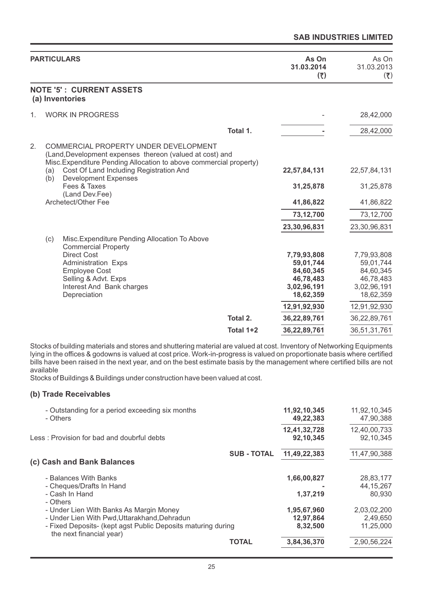|    | <b>PARTICULARS</b>                                                                                                                                                                                                                                                                                                       |             | As On<br>31.03.2014<br>(₹)                                                                     | As On<br>31.03.2013<br>$(\overline{\zeta})$                                                    |
|----|--------------------------------------------------------------------------------------------------------------------------------------------------------------------------------------------------------------------------------------------------------------------------------------------------------------------------|-------------|------------------------------------------------------------------------------------------------|------------------------------------------------------------------------------------------------|
|    | <b>NOTE '5': CURRENT ASSETS</b><br>(a) Inventories                                                                                                                                                                                                                                                                       |             |                                                                                                |                                                                                                |
| 1. | <b>WORK IN PROGRESS</b>                                                                                                                                                                                                                                                                                                  |             |                                                                                                | 28,42,000                                                                                      |
|    |                                                                                                                                                                                                                                                                                                                          | Total 1.    |                                                                                                | 28,42,000                                                                                      |
| 2. | COMMERCIAL PROPERTY UNDER DEVELOPMENT<br>(Land, Development expenses thereon (valued at cost) and<br>Misc. Expenditure Pending Allocation to above commercial property)<br>Cost Of Land Including Registration And<br>(a)<br><b>Development Expenses</b><br>(b)<br>Fees & Taxes<br>(Land Dev.Fee)<br>Archetect/Other Fee |             | 22,57,84,131<br>31,25,878<br>41,86,822                                                         | 22,57,84,131<br>31,25,878<br>41,86,822                                                         |
|    |                                                                                                                                                                                                                                                                                                                          |             | 73,12,700                                                                                      | 73,12,700                                                                                      |
|    |                                                                                                                                                                                                                                                                                                                          |             | 23,30,96,831                                                                                   | 23,30,96,831                                                                                   |
|    | Misc. Expenditure Pending Allocation To Above<br>(c)<br><b>Commercial Property</b><br><b>Direct Cost</b><br><b>Administration Exps</b><br><b>Employee Cost</b><br>Selling & Advt. Exps<br>Interest And Bank charges<br>Depreciation                                                                                      |             | 7,79,93,808<br>59,01,744<br>84,60,345<br>46,78,483<br>3,02,96,191<br>18,62,359<br>12,91,92,930 | 7,79,93,808<br>59,01,744<br>84,60,345<br>46,78,483<br>3,02,96,191<br>18,62,359<br>12,91,92,930 |
|    |                                                                                                                                                                                                                                                                                                                          | Total 2.    | 36,22,89,761                                                                                   | 36,22,89,761                                                                                   |
|    |                                                                                                                                                                                                                                                                                                                          | Total $1+2$ | 36,22,89,761                                                                                   | 36,51,31,761                                                                                   |

**SAB INDUSTRIES LIMITED**

Stocks of building materials and stores and shuttering material are valued at cost. Inventory of Networking Equipments lying in the offices & godowns is valued at cost price. Work-in-progress is valued on proportionate basis where certified bills have been raised in the next year, and on the best estimate basis by the management where certified bills are not available

Stocks of Buildings & Buildings under construction have been valued at cost.

## **(b) Trade Receivables**

| - Outstanding for a period exceeding six months<br>- Others                                                                                                                                     | 11,92,10,345<br>49,22,383            | 11,92,10,345<br>47,90,388            |
|-------------------------------------------------------------------------------------------------------------------------------------------------------------------------------------------------|--------------------------------------|--------------------------------------|
| Less: Provision for bad and doubrful debts                                                                                                                                                      | 12,41,32,728<br>92,10,345            | 12,40,00,733<br>92,10,345            |
| (c) Cash and Bank Balances                                                                                                                                                                      | <b>SUB-TOTAL</b><br>11,49,22,383     | 11,47,90,388                         |
| - Balances With Banks<br>- Cheques/Drafts In Hand<br>- Cash In Hand                                                                                                                             | 1,66,00,827<br>1,37,219              | 28,83,177<br>44, 15, 267<br>80,930   |
| - Others<br>- Under Lien With Banks As Margin Money<br>- Under Lien With Pwd, Uttarakhand, Dehradun<br>- Fixed Deposits- (kept agst Public Deposits maturing during<br>the next financial year) | 1,95,67,960<br>12,97,864<br>8,32,500 | 2,03,02,200<br>2,49,650<br>11,25,000 |
|                                                                                                                                                                                                 | 3,84,36,370<br><b>TOTAL</b>          | 2,90,56,224                          |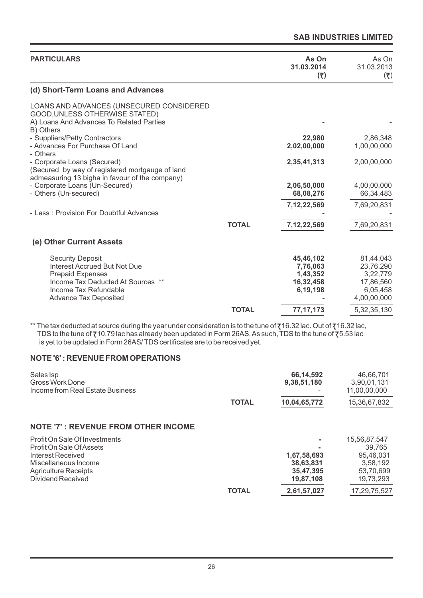| <b>PARTICULARS</b>                                                                                                                                                                      |              | As On<br>31.03.2014<br>(₹)                                 | As On<br>31.03.2013<br>$(\overline{\mathbf{r}})$                           |
|-----------------------------------------------------------------------------------------------------------------------------------------------------------------------------------------|--------------|------------------------------------------------------------|----------------------------------------------------------------------------|
| (d) Short-Term Loans and Advances                                                                                                                                                       |              |                                                            |                                                                            |
| LOANS AND ADVANCES (UNSECURED CONSIDERED<br>GOOD, UNLESS OTHERWISE STATED)<br>A) Loans And Advances To Related Parties<br>B) Others                                                     |              |                                                            |                                                                            |
| - Suppliers/Petty Contractors<br>- Advances For Purchase Of Land<br>- Others                                                                                                            |              | 22,980<br>2,02,00,000                                      | 2,86,348<br>1,00,00,000                                                    |
| - Corporate Loans (Secured)<br>(Secured by way of registered mortgauge of land<br>admeasuring 13 bigha in favour of the company)                                                        |              | 2,35,41,313                                                | 2,00,00,000                                                                |
| - Corporate Loans (Un-Secured)<br>- Others (Un-secured)                                                                                                                                 |              | 2,06,50,000<br>68,08,276                                   | 4,00,00,000<br>66,34,483                                                   |
| - Less: Provision For Doubtful Advances                                                                                                                                                 |              | 7,12,22,569                                                | 7,69,20,831                                                                |
|                                                                                                                                                                                         | <b>TOTAL</b> | 7,12,22,569                                                | 7,69,20,831                                                                |
| (e) Other Current Assets                                                                                                                                                                |              |                                                            |                                                                            |
| <b>Security Deposit</b><br><b>Interest Accrued But Not Due</b><br><b>Prepaid Expenses</b><br>Income Tax Deducted At Sources **<br>Income Tax Refundable<br><b>Advance Tax Deposited</b> |              | 45,46,102<br>7,76,063<br>1,43,352<br>16,32,458<br>6,19,198 | 81,44,043<br>23,76,290<br>3,22,779<br>17,86,560<br>6,05,458<br>4,00,00,000 |
|                                                                                                                                                                                         | <b>TOTAL</b> | 77, 17, 173                                                | 5,32,35,130                                                                |

\*\* The tax deducted at source during the year under consideration is to the tune of ₹16.32 lac. Out of ₹16.32 lac, TDS to the tune of  $\bar{\tau}$ 10.79 lac has already been updated in Form 26AS. As such, TDS to the tune of  $\bar{\tau}$ 5.53 lac is yet to be updated in Form 26AS/ TDS certificates are to be received yet.

## **NOTE '6' : REVENUE FROM OPERATIONS**

| Sales Isp<br><b>Gross Work Done</b><br>Income from Real Estate Business                                                                                           | <b>TOTAL</b> | 66,14,592<br>9,38,51,180<br>10,04,65,772           | 46,66,701<br>3,90,01,131<br>11,00,00,000<br>15,36,67,832                  |
|-------------------------------------------------------------------------------------------------------------------------------------------------------------------|--------------|----------------------------------------------------|---------------------------------------------------------------------------|
| <b>NOTE '7': REVENUE FROM OTHER INCOME</b>                                                                                                                        |              |                                                    |                                                                           |
| Profit On Sale Of Investments<br>Profit On Sale Of Assets<br><b>Interest Received</b><br>Miscellaneous Income<br><b>Agriculture Receipts</b><br>Dividend Received |              | 1,67,58,693<br>38,63,831<br>35,47,395<br>19,87,108 | 15,56,87,547<br>39.765<br>95,46,031<br>3,58,192<br>53,70,699<br>19,73,293 |
|                                                                                                                                                                   | <b>TOTAL</b> | 2,61,57,027                                        | 17,29,75,527                                                              |

## **SAB INDUSTRIES LIMITED**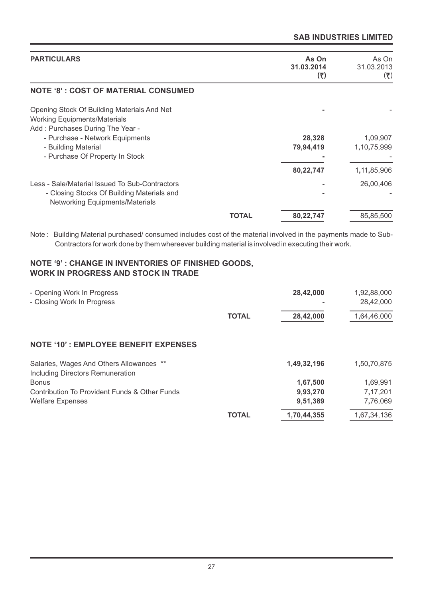## **SAB INDUSTRIES LIMITED**

| <b>PARTICULARS</b>                                                                                                                     |       | As On<br>31.03.2014<br>(₹) | As On<br>31.03.2013<br>$(\overline{\mathbf{z}})$ |
|----------------------------------------------------------------------------------------------------------------------------------------|-------|----------------------------|--------------------------------------------------|
| <b>NOTE '8': COST OF MATERIAL CONSUMED</b>                                                                                             |       |                            |                                                  |
| Opening Stock Of Building Materials And Net<br><b>Working Equipments/Materials</b><br>Add: Purchases During The Year -                 |       |                            |                                                  |
| - Purchase - Network Equipments<br>- Building Material<br>- Purchase Of Property In Stock                                              |       | 28,328<br>79,94,419        | 1,09,907<br>1,10,75,999                          |
|                                                                                                                                        |       | 80,22,747                  | 1,11,85,906                                      |
| Less - Sale/Material Issued To Sub-Contractors<br>- Closing Stocks Of Building Materials and<br><b>Networking Equipments/Materials</b> |       |                            | 26,00,406                                        |
|                                                                                                                                        | TOTAL | 80,22,747                  | 85,85,500                                        |

Note : Building Material purchased/ consumed includes cost of the material involved in the payments made to Sub-Contractors for work done by them whereever building material is involved in executing their work.

## **NOTE '9' : CHANGE IN INVENTORIES OF FINISHED GOODS, WORK IN PROGRESS AND STOCK IN TRADE**

| - Opening Work In Progress<br>- Closing Work In Progress                     |              | 28,42,000   | 1,92,88,000<br>28,42,000 |
|------------------------------------------------------------------------------|--------------|-------------|--------------------------|
|                                                                              | <b>TOTAL</b> | 28,42,000   | 1,64,46,000              |
| <b>NOTE '10': EMPLOYEE BENEFIT EXPENSES</b>                                  |              |             |                          |
| Salaries, Wages And Others Allowances **<br>Including Directors Remuneration |              | 1,49,32,196 | 1,50,70,875              |
| <b>Bonus</b>                                                                 |              | 1,67,500    | 1,69,991                 |
| Contribution To Provident Funds & Other Funds                                |              | 9,93,270    | 7,17,201                 |
| <b>Welfare Expenses</b>                                                      |              | 9,51,389    | 7,76,069                 |
|                                                                              | <b>TOTAL</b> | 1,70,44,355 | 1,67,34,136              |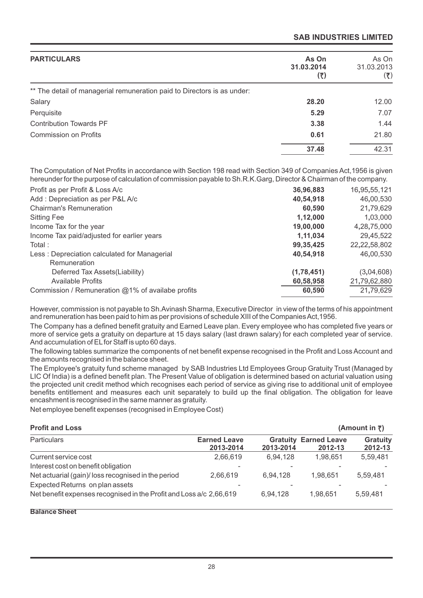## **SAB INDUSTRIES LIMITED**

| <b>PARTICULARS</b>                                                      | As On<br>31.03.2014<br>(₹) | As On<br>31.03.2013<br>(₹) |
|-------------------------------------------------------------------------|----------------------------|----------------------------|
| ** The detail of managerial remuneration paid to Directors is as under: |                            |                            |
| Salary                                                                  | 28.20                      | 12.00                      |
| Perquisite                                                              | 5.29                       | 7.07                       |
| <b>Contribution Towards PF</b>                                          | 3.38                       | 1.44                       |
| <b>Commission on Profits</b>                                            | 0.61                       | 21.80                      |
|                                                                         | 37.48                      | 42.31                      |

The Computation of Net Profits in accordance with Section 198 read with Section 349 of Companies Act,1956 is given hereunder for the purpose of calculation of commission payable to Sh.R.K.Garg, Director & Chairman of the company.

| Profit as per Profit & Loss A/c                     | 36,96,883  | 16,95,55,121 |
|-----------------------------------------------------|------------|--------------|
| Add: Depreciation as per P&L A/c                    | 40,54,918  | 46,00,530    |
| <b>Chairman's Remuneration</b>                      | 60,590     | 21,79,629    |
| <b>Sitting Fee</b>                                  | 1,12,000   | 1,03,000     |
| Income Tax for the year                             | 19,00,000  | 4,28,75,000  |
| Income Tax paid/adjusted for earlier years          | 1,11,034   | 29,45,522    |
| Total:                                              | 99,35,425  | 22,22,58,802 |
| Less: Depreciation calculated for Managerial        | 40,54,918  | 46,00,530    |
| Remuneration                                        |            |              |
| Deferred Tax Assets(Liability)                      | (1,78,451) | (3,04,608)   |
| <b>Available Profits</b>                            | 60,58,958  | 21,79,62,880 |
| Commission / Remuneration $@1%$ of availabe profits | 60,590     | 21,79,629    |

However, commission is not payable to Sh.Avinash Sharma, Executive Director in view of the terms of his appointment and remuneration has been paid to him as per provisions of schedule XIII of the Companies Act,1956.

The Company has a defined benefit gratuity and Earned Leave plan. Every employee who has completed five years or more of service gets a gratuity on departure at 15 days salary (last drawn salary) for each completed year of service. And accumulation of ELfor Staff is upto 60 days.

The following tables summarize the components of net benefit expense recognised in the Profit and Loss Account and the amounts recognised in the balance sheet.

The Employee's gratuity fund scheme managed by SAB Industries Ltd Employees Group Gratuity Trust (Managed by LIC Of India) is a defined benefit plan. The Present Value of obligation is determined based on acturial valuation using the projected unit credit method which recognises each period of service as giving rise to additional unit of employee benefits entitlement and measures each unit separately to build up the final obligation. The obligation for leave encashment is recognised in the same manner as gratuity.

Net employee benefit expenses (recognised in Employee Cost)

| <b>Profit and Loss</b>                                              |                                  |                       | (Amount in $\bar{z}$ )         |                            |
|---------------------------------------------------------------------|----------------------------------|-----------------------|--------------------------------|----------------------------|
| <b>Particulars</b>                                                  | <b>Earned Leave</b><br>2013-2014 | Gratuity<br>2013-2014 | <b>Earned Leave</b><br>2012-13 | <b>Gratuity</b><br>2012-13 |
| Current service cost                                                | 2,66,619                         | 6.94.128              | 1.98.651                       | 5,59,481                   |
| Interest cost on benefit obligation                                 |                                  |                       |                                |                            |
| Net actuarial (gain)/loss recognised in the period                  | 2.66.619                         | 6.94.128              | 1.98.651                       | 5.59.481                   |
| Expected Returns on plan assets                                     |                                  |                       |                                |                            |
| Net benefit expenses recognised in the Profit and Loss a/c 2,66,619 |                                  | 6.94.128              | 1.98.651                       | 5.59.481                   |

#### **Balance Sheet**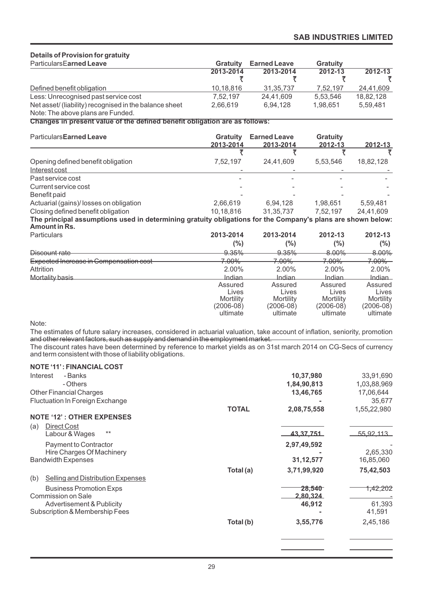## **Details of Provision for gratuity**

| ParticularsEarned Leave                               | <b>Gratuity</b> | <b>Earned Leave</b> | <b>Gratuity</b> |           |
|-------------------------------------------------------|-----------------|---------------------|-----------------|-----------|
|                                                       | 2013-2014       | 2013-2014           | 2012-13         | 2012-13   |
|                                                       |                 |                     |                 |           |
| Defined benefit obligation                            | 10.18.816       | 31,35,737           | 7.52.197        | 24,41,609 |
| Less: Unrecognised past service cost                  | 7.52.197        | 24.41.609           | 5.53.546        | 18.82.128 |
| Net asset/(liability) recognised in the balance sheet | 2,66,619        | 6.94.128            | 1.98.651        | 5.59.481  |
| Note: The above plans are Funded.                     |                 |                     |                 |           |

**Changes in present value of the defined benefit obligation are as follows:** 

| <b>ParticularsEarned Leave</b>                                                                                               | Gratuity<br>2013-2014 | <b>Earned Leave</b><br>2013-2014 | Gratuity<br>2012-13 | <u>2012-13</u>   |
|------------------------------------------------------------------------------------------------------------------------------|-----------------------|----------------------------------|---------------------|------------------|
|                                                                                                                              |                       |                                  |                     |                  |
| Opening defined benefit obligation                                                                                           | 7,52,197              | 24,41,609                        | 5,53,546            | 18,82,128        |
| Interest cost                                                                                                                |                       |                                  |                     |                  |
| Past service cost                                                                                                            |                       |                                  |                     |                  |
| Current service cost                                                                                                         |                       |                                  |                     |                  |
| Benefit paid                                                                                                                 |                       |                                  |                     |                  |
| Actuarial (gains)/losses on obligation                                                                                       | 2,66,619              | 6,94,128                         | 1,98,651            | 5,59,481         |
| Closing defined benefit obligation                                                                                           | 10,18,816             | 31, 35, 737                      | 7,52,197            | 24,41,609        |
| The principal assumptions used in determining gratuity obligations for the Company's plans are shown below:<br>Amount in Rs. |                       |                                  |                     |                  |
| Particulars                                                                                                                  | 2013-2014             | 2013-2014                        | 2012-13             | 2012-13          |
|                                                                                                                              | $(\% )$               | (%)                              | (%)                 | $(\% )$          |
| Discount rate                                                                                                                | <del>9.35%</del>      | <del>9.35%</del>                 | 8.00%               | <del>8.00%</del> |
| Expected Increase in Compensation cost                                                                                       | <del>7.00%</del>      | <del>7.00%</del>                 | <del>7.00%</del>    | <del>7.00%</del> |
| Attrition                                                                                                                    | 2.00%                 | $2.00\%$                         | 2.00%               | 2.00%            |
| Mortality basis                                                                                                              | Indian                | Indian                           | Indian              | <b>Indian</b>    |
|                                                                                                                              | Assured               | Assured                          | Assured             | Assured          |
|                                                                                                                              | Lives                 | Lives                            | Lives               | Lives            |
|                                                                                                                              | Mortility             | Mortility                        | Mortility           | Mortility        |
|                                                                                                                              | (2006-08)             | (2006-08)                        | (2006-08)           | (2006-08)        |
|                                                                                                                              | ultimate              | ultimate                         | ultimate            | ultimate         |

Note:

The estimates of future salary increases, considered in actuarial valuation, take account of inflation, seniority, promotion and other relevant factors, such as supply and demand in the employment market.

The discount rates have been determined by reference to market yields as on 31st march 2014 on CG-Secs of currency and term consistent with those of liability obligations.

| <b>NOTE '11': FINANCIAL COST</b>                |              |             |                   |
|-------------------------------------------------|--------------|-------------|-------------------|
| - Banks<br>Interest                             |              | 10,37,980   | 33,91,690         |
| - Others                                        |              | 1,84,90,813 | 1,03,88,969       |
| <b>Other Financial Charges</b>                  |              | 13,46,765   | 17,06,644         |
| Fluctuation In Foreign Exchange                 |              |             | 35,677            |
|                                                 | <b>TOTAL</b> | 2,08,75,558 | 1,55,22,980       |
| <b>NOTE '12': OTHER EXPENSES</b>                |              |             |                   |
| Direct Cost<br>(a)<br>$***$                     |              |             | <u>55.92.113 </u> |
| Labour & Wages                                  |              | 43,37,751   |                   |
| Payment to Contractor                           |              | 2,97,49,592 |                   |
| Hire Charges Of Machinery                       |              |             | 2,65,330          |
| <b>Bandwidth Expenses</b>                       |              | 31, 12, 577 | 16,85,060         |
|                                                 | Total (a)    | 3,71,99,920 | 75,42,503         |
| <b>Selling and Distribution Expenses</b><br>(b) |              |             |                   |
| <b>Business Promotion Exps</b>                  |              | 28,540      | 1,42,202          |
| Commission on Sale                              |              | 2,80,324    |                   |
| <b>Advertisement &amp; Publicity</b>            |              | 46,912      | 61,393            |
| Subscription & Membership Fees                  |              |             | 41,591            |
|                                                 | Total (b)    | 3,55,776    | 2,45,186          |
|                                                 |              |             |                   |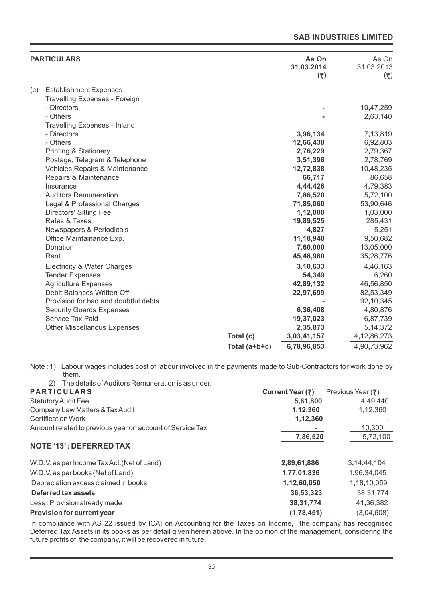|     | <b>PARTICULARS</b>                                     |               | As On<br>31.03.2014<br>(₹) | As On<br>31.03.2013<br>$(\overline{\mathbf{z}})$ |
|-----|--------------------------------------------------------|---------------|----------------------------|--------------------------------------------------|
| (c) | <b>Establishment Expenses</b>                          |               |                            |                                                  |
|     | <b>Travelling Expenses - Foreign</b>                   |               |                            |                                                  |
|     | - Directors                                            |               |                            | 10,47,259                                        |
|     | - Others                                               |               |                            | 2,63,140                                         |
|     | Travelling Expenses - Inland                           |               |                            |                                                  |
|     | - Directors                                            |               | 3,96,134                   | 7,13,819                                         |
|     | - Others                                               |               | 12,66,438                  | 6,92,803                                         |
|     | <b>Printing &amp; Stationery</b>                       |               | 2,76,229                   | 2,79,367                                         |
|     | Postage, Telegram & Telephone                          |               | 3,51,396                   | 2,78,769                                         |
|     | Vehicles Repairs & Maintenance                         |               | 12,72,838                  | 10,48,235                                        |
|     | Repairs & Maintenance                                  |               | 66,717                     | 86,658                                           |
|     | Insurance                                              |               | 4,44,428                   | 4,79,383                                         |
|     | <b>Auditors Remuneration</b>                           |               | 7,86,520                   | 5,72,100                                         |
|     | Legal & Professional Charges                           |               | 71,85,060                  | 53,90,646                                        |
|     | <b>Directors' Sitting Fee</b>                          |               | 1,12,000                   | 1,03,000                                         |
|     | Rates & Taxes                                          |               | 19,89,525                  | 285,431                                          |
|     | Newspapers & Periodicals                               |               | 4,827                      | 5,251                                            |
|     | Office Maintainance Exp.<br>Donation                   |               | 11,18,948                  | 9,50,682                                         |
|     |                                                        |               | 7,60,000                   | 13,05,000                                        |
|     | Rent                                                   |               | 45,48,980                  | 35,28,776                                        |
|     | Electricity & Water Charges                            |               | 3,10,633                   | 4,46,163                                         |
|     | <b>Tender Expenses</b>                                 |               | 54,349                     | 6,260                                            |
|     | <b>Agriculture Expenses</b>                            |               | 42,89,132                  | 46,56,850                                        |
|     | Debit Balances Written Off                             |               | 22,97,699                  | 82,53,349                                        |
|     | Provision for bad and doubtful debts                   |               |                            | 92,10,345                                        |
|     | <b>Security Guards Expenses</b>                        |               | 6,36,408                   | 4,80,876                                         |
|     | Service Tax Paid<br><b>Other Miscellanous Expenses</b> |               | 19,37,023<br>2,35,873      | 6,87,739<br>5, 14, 372                           |
|     |                                                        | Total (c)     | 3,03,41,157                | 4, 12, 86, 273                                   |
|     |                                                        |               |                            |                                                  |
|     |                                                        | Total (a+b+c) | 6,78,96,853                | 4,90,73,962                                      |

**SAB INDUSTRIES LIMITED**

Note : 1) Labour wages includes cost of labour involved in the payments made to Sub-Contractors for work done by them.

2) The details of Auditors Remuneration is as under.

| <b>PARTICULARS</b>                                        | Current Year $(7)$ | Previous Year (₹) |
|-----------------------------------------------------------|--------------------|-------------------|
| <b>Statutory Audit Fee</b>                                | 5,61,800           | 4,49,440          |
| Company Law Matters & Tax Audit                           | 1,12,360           | 1,12,360          |
| <b>Certification Work</b>                                 | 1,12,360           |                   |
| Amount related to previous year on account of Service Tax |                    | 10.300            |
|                                                           | 7,86,520           | 5,72,100          |
| <b>NOTE '13': DEFERRED TAX</b>                            |                    |                   |
| W.D.V. as per Income Tax Act. (Net of Land)               | 2,89,61,886        | 3, 14, 44, 104    |
| W.D.V. as per books (Net of Land)                         | 1,77,01,836        | 1,96,34,045       |
| Depreciation excess claimed in books                      | 1,12,60,050        | 1,18,10,059       |
| Deferred tax assets                                       | 36,53,323          | 38, 31, 774       |
| Less: Provision already made                              | 38, 31, 774        | 41,36,382         |
| <b>Provision for current year</b>                         | (1,78,451)         | (3,04,608)        |

In compliance with AS 22 issued by ICAI on Accounting for the Taxes on Income, the company has recognised Deferred Tax Assets in its books as per detail given herein above. In the opinion of the management, considering the future profits of the company, it will be recovered in future.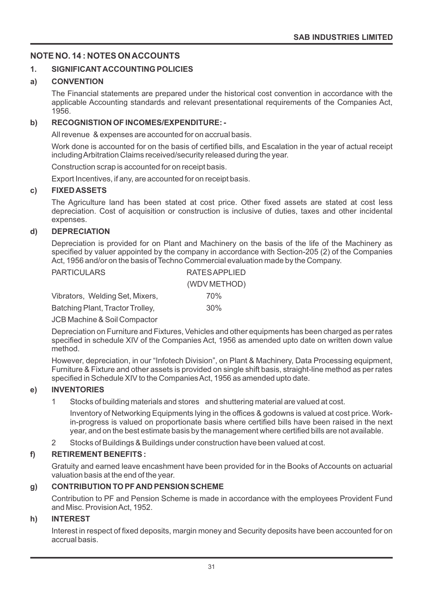## **NOTE NO. 14 : NOTES ON ACCOUNTS**

## **1. SIGNIFICANT ACCOUNTING POLICIES**

## **a) CONVENTION**

The Financial statements are prepared under the historical cost convention in accordance with the applicable Accounting standards and relevant presentational requirements of the Companies Act, 1956.

## **b) RECOGNISTION OF INCOMES/EXPENDITURE: -**

All revenue & expenses are accounted for on accrual basis.

Work done is accounted for on the basis of certified bills, and Escalation in the year of actual receipt including Arbitration Claims received/security released during the year.

Construction scrap is accounted for on receipt basis.

Export Incentives, if any, are accounted for on receipt basis.

## **c) FIXED ASSETS**

The Agriculture land has been stated at cost price. Other fixed assets are stated at cost less depreciation. Cost of acquisition or construction is inclusive of duties, taxes and other incidental expenses.

## **d) DEPRECIATION**

Depreciation is provided for on Plant and Machinery on the basis of the life of the Machinery as specified by valuer appointed by the company in accordance with Section-205 (2) of the Companies Act, 1956 and/or on the basis of Techno Commercial evaluation made by the Company.

| <b>RATES APPLIED</b> |
|----------------------|
| (WDV METHOD)         |
| 70 <sub>%</sub>      |
| 30%                  |
|                      |

JCB Machine & Soil Compactor

Depreciation on Furniture and Fixtures, Vehicles and other equipments has been charged as per rates specified in schedule XIV of the Companies Act, 1956 as amended upto date on written down value method.

However, depreciation, in our "Infotech Division", on Plant & Machinery, Data Processing equipment, Furniture & Fixture and other assets is provided on single shift basis, straight-line method as per rates specified in Schedule XIV to the Companies Act, 1956 as amended upto date.

## **e) INVENTORIES**

1 Stocks of building materials and stores and shuttering material are valued at cost.

Inventory of Networking Equipments lying in the offices & godowns is valued at cost price. Workin-progress is valued on proportionate basis where certified bills have been raised in the next year, and on the best estimate basis by the management where certified bills are not available.

2 Stocks of Buildings & Buildings under construction have been valued at cost.

## **f) RETIREMENT BENEFITS :**

Gratuity and earned leave encashment have been provided for in the Books of Accounts on actuarial valuation basis at the end of the year.

## **g) CONTRIBUTION TO PF AND PENSION SCHEME**

Contribution to PF and Pension Scheme is made in accordance with the employees Provident Fund and Misc. Provision Act, 1952.

## **h) INTEREST**

Interest in respect of fixed deposits, margin money and Security deposits have been accounted for on accrual basis.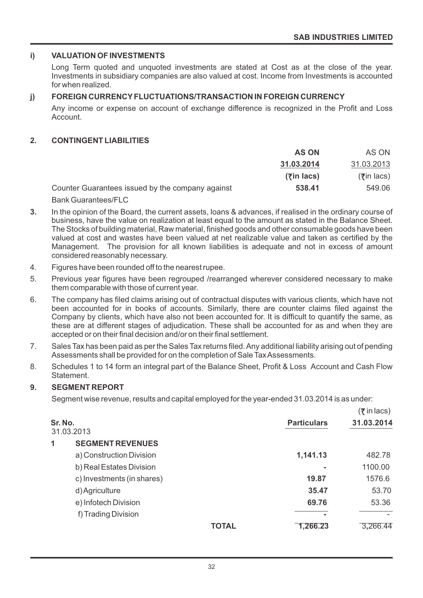$(\overline{\ast}$  in lace)

## **i) VALUATION OF INVESTMENTS**

Long Term quoted and unquoted investments are stated at Cost as at the close of the year. Investments in subsidiary companies are also valued at cost. Income from Investments is accounted for when realized.

## **j) FOREIGN CURRENCYFLUCTUATIONS/TRANSACTION IN FOREIGN CURRENCY**

Any income or expense on account of exchange difference is recognized in the Profit and Loss Account.

## **2. CONTINGENT LIABILITIES**

|                                                  | <b>AS ON</b>   | AS ON      |
|--------------------------------------------------|----------------|------------|
|                                                  | 31.03.2014     | 31.03.2013 |
|                                                  | $(7)$ in lacs) | $(5)$ acs) |
| Counter Guarantees issued by the company against | 538.41         | 549.06     |
| - - -                                            |                |            |

Bank Guarantees/FLC

- **3.** In the opinion of the Board, the current assets, loans & advances, if realised in the ordinary course of business, have the value on realization at least equal to the amount as stated in the Balance Sheet. The Stocks of building material, Raw material, finished goods and other consumable goods have been valued at cost and wastes have been valued at net realizable value and taken as certified by the Management. The provision for all known liabilities is adequate and not in excess of amount considered reasonably necessary.
- 4. Figures have been rounded off to the nearest rupee.
- 5. Previous year figures have been regrouped /rearranged wherever considered necessary to make them comparable with those of current year.
- 6. The company has filed claims arising out of contractual disputes with various clients, which have not been accounted for in books of accounts. Similarly, there are counter claims filed against the Company by clients, which have also not been accounted for. It is difficult to quantify the same, as these are at different stages of adjudication. These shall be accounted for as and when they are accepted or on their final decision and/or on their final settlement.
- 7. Sales Tax has been paid as per the Sales Tax returns filed. Any additional liability arising out of pending Assessments shall be provided for on the completion of Sale Tax Assessments.
- 8. Schedules 1 to 14 form an integral part of the Balance Sheet, Profit & Loss Account and Cash Flow Statement.

## **9. SEGMENT REPORT**

Segment wise revenue, results and capital employed for the year-ended 31.03.2014 is as under:

|         |                            |              |                    | $\mathbf{u}$ $\mathbf{u}$ $\mathbf{u}$ |
|---------|----------------------------|--------------|--------------------|----------------------------------------|
| Sr. No. |                            |              | <b>Particulars</b> | 31.03.2014                             |
|         | 31.03.2013                 |              |                    |                                        |
| 1       | <b>SEGMENT REVENUES</b>    |              |                    |                                        |
|         | a) Construction Division   |              | 1,141.13           | 482.78                                 |
|         | b) Real Estates Division   |              |                    | 1100.00                                |
|         | c) Investments (in shares) |              | 19.87              | 1576.6                                 |
|         | d) Agriculture             |              | 35.47              | 53.70                                  |
|         | e) Infotech Division       |              | 69.76              | 53.36                                  |
|         | f) Trading Division        |              |                    |                                        |
|         |                            | <b>TOTAL</b> | 1,266.23           | 3,266.44                               |
|         |                            |              |                    |                                        |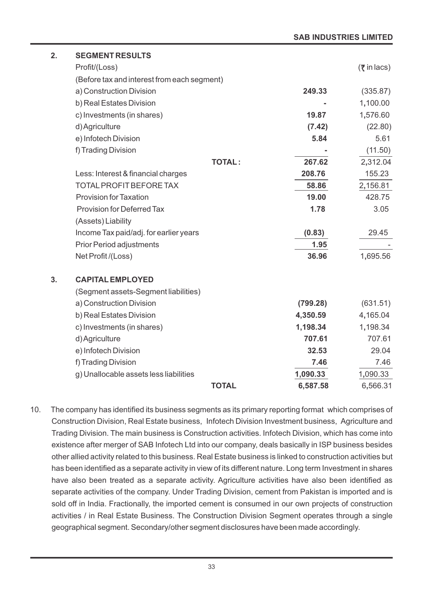| 2. | <b>SEGMENT RESULTS</b>                      |               |          |               |
|----|---------------------------------------------|---------------|----------|---------------|
|    | Profit/(Loss)                               |               |          | $(5$ in lacs) |
|    | (Before tax and interest from each segment) |               |          |               |
|    | a) Construction Division                    |               | 249.33   | (335.87)      |
|    | b) Real Estates Division                    |               |          | 1,100.00      |
|    | c) Investments (in shares)                  |               | 19.87    | 1,576.60      |
|    | d) Agriculture                              |               | (7.42)   | (22.80)       |
|    | e) Infotech Division                        |               | 5.84     | 5.61          |
|    | f) Trading Division                         |               |          | (11.50)       |
|    |                                             | <b>TOTAL:</b> | 267.62   | 2,312.04      |
|    | Less: Interest & financial charges          |               | 208.76   | 155.23        |
|    | <b>TOTAL PROFIT BEFORE TAX</b>              |               | 58.86    | 2,156.81      |
|    | <b>Provision for Taxation</b>               |               | 19.00    | 428.75        |
|    | <b>Provision for Deferred Tax</b>           |               | 1.78     | 3.05          |
|    | (Assets) Liability                          |               |          |               |
|    | Income Tax paid/adj. for earlier years      |               | (0.83)   | 29.45         |
|    | Prior Period adjustments                    |               | 1.95     |               |
|    | Net Profit/(Loss)                           |               | 36.96    | 1,695.56      |
| 3. | <b>CAPITAL EMPLOYED</b>                     |               |          |               |
|    | (Segment assets-Segment liabilities)        |               |          |               |
|    | a) Construction Division                    |               | (799.28) | (631.51)      |
|    | b) Real Estates Division                    |               | 4,350.59 | 4,165.04      |
|    | c) Investments (in shares)                  |               | 1,198.34 | 1,198.34      |
|    | d) Agriculture                              |               | 707.61   | 707.61        |
|    | e) Infotech Division                        |               | 32.53    | 29.04         |
|    | f) Trading Division                         |               | 7.46     | 7.46          |
|    | g) Unallocable assets less liabilities      |               | 1,090.33 | 1,090.33      |
|    |                                             | <b>TOTAL</b>  | 6,587.58 | 6,566.31      |

10. The company has identified its business segments as its primary reporting format which comprises of Construction Division, Real Estate business, Infotech Division Investment business, Agriculture and Trading Division. The main business is Construction activities. Infotech Division, which has come into existence after merger of SAB Infotech Ltd into our company, deals basically in ISP business besides other allied activity related to this business. Real Estate business is linked to construction activities but has been identified as a separate activity in view of its different nature. Long term Investment in shares have also been treated as a separate activity. Agriculture activities have also been identified as separate activities of the company. Under Trading Division, cement from Pakistan is imported and is sold off in India. Fractionally, the imported cement is consumed in our own projects of construction activities / in Real Estate Business. The Construction Division Segment operates through a single geographical segment. Secondary/other segment disclosures have been made accordingly.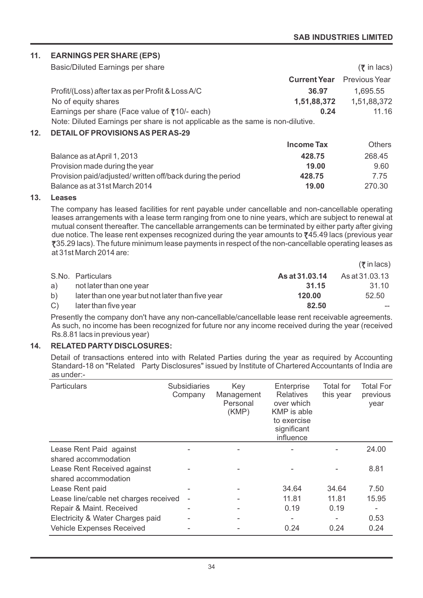## **11. EARNINGS PER SHARE (EPS)**

| Basic/Diluted Earnings per share                                                |                     | $(5$ in lacs)        |
|---------------------------------------------------------------------------------|---------------------|----------------------|
|                                                                                 | <b>Current Year</b> | <b>Previous Year</b> |
| Profit/(Loss) after tax as per Profit & Loss A/C                                | 36.97               | 1,695.55             |
| No of equity shares                                                             | 1,51,88,372         | 1,51,88,372          |
| Earnings per share (Face value of $\overline{\tau}$ 10/- each)                  | 0.24                | 11.16                |
| Note: Diluted Earnings per share is not applicable as the same is non-dilutive. |                     |                      |
| 12 <sub>1</sub><br><b>DETAIL OF PROVISIONS AS PER AS-29</b>                     |                     |                      |
|                                                                                 | <b>Income Tax</b>   | <b>Others</b>        |
| Balance as at April 1, 2013                                                     | 428.75              | 268.45               |
| Provision made during the year                                                  | 19.00               | 9.60                 |

Provision paid/adjusted/ written off/back during the period **428.75** 428.75 Balance as at 31st March 2014 **19.00** 270.30

## **13. Leases**

The company has leased facilities for rent payable under cancellable and non-cancellable operating leases arrangements with a lease term ranging from one to nine years, which are subject to renewal at mutual consent thereafter. The cancellable arrangements can be terminated by either party after giving due notice. The lease rent expenses recognized during the year amounts to  $\overline{\tau}45.49$  lacs (previous year s35.29 lacs). The future minimum lease payments in respect of the non-cancellable operating leases as at 31st March 2014 are:

|    |                                                  |                | $(\bar{z}$ in lacs) |
|----|--------------------------------------------------|----------------|---------------------|
|    | S.No. Particulars                                | As at 31.03.14 | As at 31.03.13      |
| a) | not later than one year                          | 31.15          | 31.10               |
| b) | later than one year but not later than five year | 120.00         | 52.50               |
| C) | later than five year                             | 82.50          | $- -$               |

Presently the company don't have any non-cancellable/cancellable lease rent receivable agreements. As such, no income has been recognized for future nor any income received during the year (received Rs.8.81 lacs in previous year)

## **14. RELATED PARTY DISCLOSURES:**

Detail of transactions entered into with Related Parties during the year as required by Accounting Standard-18 on "Related Party Disclosures" issued by Institute of Chartered Accountants of India are as under:-

| <b>Particulars</b>                    | <b>Subsidiaries</b><br>Company | Key<br>Management<br>Personal<br>(KMP) | Enterprise<br><b>Relatives</b><br>over which<br>KMP is able<br>to exercise<br>significant<br>influence | Total for<br>this year | <b>Total For</b><br>previous<br>year |
|---------------------------------------|--------------------------------|----------------------------------------|--------------------------------------------------------------------------------------------------------|------------------------|--------------------------------------|
| Lease Rent Paid against               |                                |                                        |                                                                                                        |                        | 24.00                                |
| shared accommodation                  |                                |                                        |                                                                                                        |                        |                                      |
| Lease Rent Received against           |                                |                                        |                                                                                                        |                        | 8.81                                 |
| shared accommodation                  |                                |                                        |                                                                                                        |                        |                                      |
| Lease Rent paid                       |                                |                                        | 34.64                                                                                                  | 34.64                  | 7.50                                 |
| Lease line/cable net charges received |                                |                                        | 11.81                                                                                                  | 11.81                  | 15.95                                |
| Repair & Maint. Received              |                                |                                        | 0.19                                                                                                   | 0.19                   |                                      |
| Electricity & Water Charges paid      |                                |                                        |                                                                                                        |                        | 0.53                                 |
| <b>Vehicle Expenses Received</b>      |                                |                                        | 0.24                                                                                                   | 0.24                   | 0.24                                 |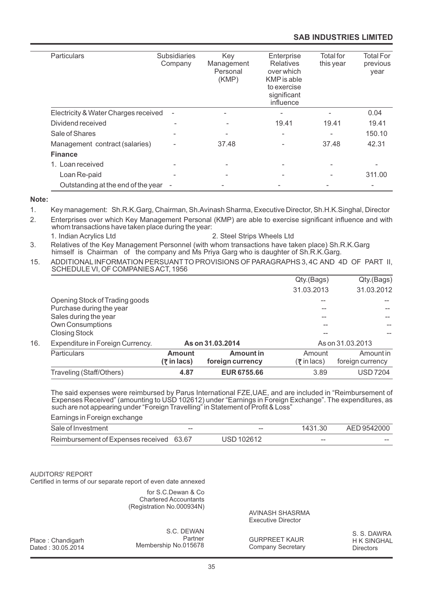## **SAB INDUSTRIES LIMITED**

| <b>Particulars</b>                   | <b>Subsidiaries</b><br>Company | Key<br>Management<br>Personal<br>(KMP) | Enterprise<br><b>Relatives</b><br>over which<br>KMP is able<br>to exercise<br>significant<br>influence | <b>Total</b> for<br>this year | <b>Total For</b><br>previous<br>year |
|--------------------------------------|--------------------------------|----------------------------------------|--------------------------------------------------------------------------------------------------------|-------------------------------|--------------------------------------|
| Electricity & Water Charges received | $\overline{\phantom{a}}$       |                                        | ٠                                                                                                      |                               | 0.04                                 |
| Dividend received                    |                                |                                        | 19.41                                                                                                  | 19.41                         | 19.41                                |
| Sale of Shares                       |                                |                                        |                                                                                                        |                               | 150.10                               |
| Management contract (salaries)       |                                | 37.48                                  |                                                                                                        | 37.48                         | 42.31                                |
| <b>Finance</b>                       |                                |                                        |                                                                                                        |                               |                                      |
| 1. Loan received                     |                                |                                        |                                                                                                        |                               |                                      |
| Loan Re-paid                         | ٠                              |                                        |                                                                                                        |                               | 311.00                               |
| Outstanding at the end of the year   |                                |                                        |                                                                                                        |                               |                                      |

#### **Note:**

1. Key management: Sh.R.K.Garg, Chairman, Sh.Avinash Sharma, Executive Director, Sh.H.K.Singhal, Director

- 2. Enterprises over which Key Management Personal (KMP) are able to exercise significant influence and with whom transactions have taken place during the year:
- 1. Indian Acrylics Ltd 2. Steel Strips Wheels Ltd 3. Relatives of the Key Management Personnel (with whom transactions have taken place) Sh.R.K.Garg himself is Chairman of the company and Ms Priya Garg who is daughter of Sh.R.K.Garg.
- 15. ADDITIONALINFORMATION PERSUANTTO PROVISIONS OF PARAGRAPHS 3, 4C AND 4D OF PART II, SCHEDULE VI, OF COMPANIES ACT, 1956

|     | <b>Particulars</b>                                                                            | <b>Amount</b><br>$(7$ in lacs) | <b>Amount in</b><br>foreign currency | Amount<br>(₹ in lacs)    | Amount in<br>foreign currency |
|-----|-----------------------------------------------------------------------------------------------|--------------------------------|--------------------------------------|--------------------------|-------------------------------|
| 16. | Expenditure in Foreign Currency.                                                              |                                | As on 31.03.2014                     |                          | As on 31,03,2013              |
|     | Purchase during the year<br>Sales during the year<br>Own Consumptions<br><b>Closing Stock</b> |                                |                                      | --<br>--                 | $- -$<br>$- -$                |
|     | Opening Stock of Trading goods                                                                |                                |                                      | Qty.(Bags)<br>31.03.2013 | Qty.(Bags)<br>31.03.2012      |

The said expenses were reimbursed by Parus International FZE,UAE, and are included in "Reimbursement of Expenses Received" (amounting to USD 102612) under "Earnings in Foreign Exchange". The expenditures, as such are not appearing under "Foreign Travelling" in Statement of Profit & Loss"

Traveling (Staff/Others) **4.87 EUR 6755.66** 3.89 USD 7204

| Earnings in Foreign exchange             |       |            |         |             |
|------------------------------------------|-------|------------|---------|-------------|
| Sale of Investment                       | $- -$ | $- -$      | 1431.30 | AED 9542000 |
| Reimbursement of Expenses received 63.67 |       | USD 102612 | $- -$   | --          |

#### AUDITORS' REPORT

Certified in terms of our separate report of even date annexed

| for S.C.Dewan & Co           |
|------------------------------|
| <b>Chartered Accountants</b> |
| (Registration No.000934N)    |

|                                        | <b>Chartered Accountants</b><br>(Registration No.000934N) | AVINASH SHASRMA<br>Executive Director            |                                                       |
|----------------------------------------|-----------------------------------------------------------|--------------------------------------------------|-------------------------------------------------------|
| Place: Chandigarh<br>Dated: 30.05.2014 | S.C. DEWAN<br>Partner<br>Membership No.015678             | <b>GURPREET KAUR</b><br><b>Company Secretary</b> | S. S. DAWRA<br><b>H K SINGHAL</b><br><b>Directors</b> |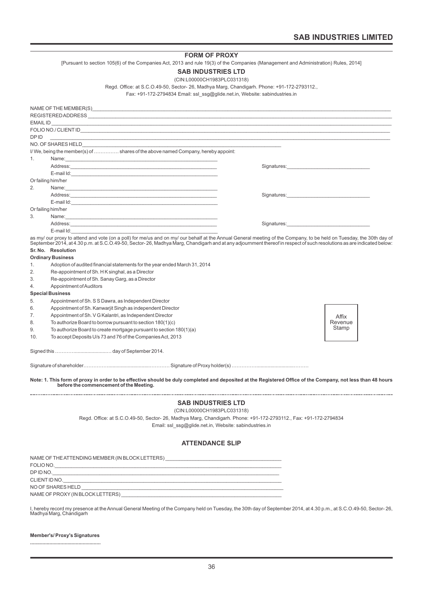#### **FORM OF PROXY**

[Pursuant to section 105(6) of the Companies Act, 2013 and rule 19(3) of the Companies (Management and Administration) Rules, 2014]

#### **SAB INDUSTRIES LTD**

(CIN:L00000CH1983PLC031318) Regd. Office: at S.C.O.49-50, Sector- 26, Madhya Marg, Chandigarh. Phone: +91-172-2793112.,

Fax: +91-172-2794834 Email: ssl\_ssg@glide.net.in, Website: sabindustries.in

|                | NAME OF THE MEMBER(S)<br><u> 1989 - Johann John Stoff, deutscher Stoff, der Stoff, der Stoff, der Stoff, der Stoff, der Stoff, der Stoff, </u>                                                                                    |                                                                                                                                                                                                                                |         |
|----------------|-----------------------------------------------------------------------------------------------------------------------------------------------------------------------------------------------------------------------------------|--------------------------------------------------------------------------------------------------------------------------------------------------------------------------------------------------------------------------------|---------|
|                |                                                                                                                                                                                                                                   |                                                                                                                                                                                                                                |         |
|                | <b>EMAILID</b><br><u> 1989 - Johann Stoff, amerikansk politiker (d. 1989)</u>                                                                                                                                                     |                                                                                                                                                                                                                                |         |
|                |                                                                                                                                                                                                                                   |                                                                                                                                                                                                                                |         |
| DP ID          | <u> 1989 - Johann Stoff, amerikansk politiker (d. 1989)</u>                                                                                                                                                                       |                                                                                                                                                                                                                                |         |
|                | NO. OF SHARES HELD                                                                                                                                                                                                                |                                                                                                                                                                                                                                |         |
|                | I/We, being the member(s) of  shares of the above named Company, hereby appoint:                                                                                                                                                  |                                                                                                                                                                                                                                |         |
| $\mathbf{1}$ . | Name: Name: Name: Name: Name: Name: Name: Name: Name: Name: Name: Name: Name: Name: Name: Name: Name: Name: Name: Name: Name: Name: Name: Name: Name: Name: Name: Name: Name: Name: Name: Name: Name: Name: Name: Name: Name:     |                                                                                                                                                                                                                                |         |
|                |                                                                                                                                                                                                                                   | Signatures: <u>www.common.common.common.common.common.common.common.common.common.com</u>                                                                                                                                      |         |
|                |                                                                                                                                                                                                                                   |                                                                                                                                                                                                                                |         |
|                | Or failing him/her                                                                                                                                                                                                                |                                                                                                                                                                                                                                |         |
| 2.             | Name:                                                                                                                                                                                                                             |                                                                                                                                                                                                                                |         |
|                | Address: Note and the contract of the contract of the contract of the contract of the contract of the contract of the contract of the contract of the contract of the contract of the contract of the contract of the contract    | Signatures: the contract of the contract of the contract of the contract of the contract of the contract of the contract of the contract of the contract of the contract of the contract of the contract of the contract of th |         |
|                |                                                                                                                                                                                                                                   |                                                                                                                                                                                                                                |         |
|                | Or failing him/her                                                                                                                                                                                                                |                                                                                                                                                                                                                                |         |
| 3.             | Name: 2008. [2016] Name: 2016. [2016] Name: 2016. [2016] Name: 2016. [2016] Name: 2016. [2016] Name: 2016. [20                                                                                                                    |                                                                                                                                                                                                                                |         |
|                | Address: Note and the contract of the contract of the contract of the contract of the contract of the contract of the contract of the contract of the contract of the contract of the contract of the contract of the contract    |                                                                                                                                                                                                                                |         |
|                | E-mail Id:                                                                                                                                                                                                                        |                                                                                                                                                                                                                                |         |
|                | as my/ our proxy to attend and vote (on a poll) for me/us and on my/ our behalf at the Annual General meeting of the Company, to be held on Tuesday, the 30th day of<br>September 2014, at 4.30 p.m. at S.C.O.49-50, Sector-26, M |                                                                                                                                                                                                                                |         |
|                | Sr. No. Resolution                                                                                                                                                                                                                |                                                                                                                                                                                                                                |         |
|                | <b>Ordinary Business</b>                                                                                                                                                                                                          |                                                                                                                                                                                                                                |         |
| 1.             | Adoption of audited financial statements for the year ended March 31, 2014                                                                                                                                                        |                                                                                                                                                                                                                                |         |
| 2.             | Re-appointment of Sh. HK singhal, as a Director                                                                                                                                                                                   |                                                                                                                                                                                                                                |         |
| 3.             | Re-appointment of Sh. Sanay Garg, as a Director                                                                                                                                                                                   |                                                                                                                                                                                                                                |         |
| 4.             | Appointment of Auditors                                                                                                                                                                                                           |                                                                                                                                                                                                                                |         |
|                | <b>Special Business</b>                                                                                                                                                                                                           |                                                                                                                                                                                                                                |         |
| 5.             | Appointment of Sh. S S Dawra, as Independent Director                                                                                                                                                                             |                                                                                                                                                                                                                                |         |
| 6.             | Appointment of Sh. Kanwarjit Singh as independent Director                                                                                                                                                                        |                                                                                                                                                                                                                                |         |
| 7.             | Appointment of Sh. V G Kalantri, as Independent Director                                                                                                                                                                          |                                                                                                                                                                                                                                | Affix   |
| 8.             | To authorize Board to borrow pursuant to section 180(1)(c)                                                                                                                                                                        |                                                                                                                                                                                                                                | Revenue |
| 9.             | To authorize Board to create mortgage pursuant to section 180(1)(a)                                                                                                                                                               |                                                                                                                                                                                                                                | Stamp   |
| 10.            | To accept Deposits U/s 73 and 76 of the Companies Act, 2013                                                                                                                                                                       |                                                                                                                                                                                                                                |         |
|                |                                                                                                                                                                                                                                   |                                                                                                                                                                                                                                |         |
|                |                                                                                                                                                                                                                                   |                                                                                                                                                                                                                                |         |
|                |                                                                                                                                                                                                                                   |                                                                                                                                                                                                                                |         |
|                | Note: 1. This form of proxy in order to be effective should be duly completed and deposited at the Registered Office of the Company, not less than 48 hours<br>before the commencement of the Meeting.                            |                                                                                                                                                                                                                                |         |
|                | <b>SAB INDUSTRIES LTD</b>                                                                                                                                                                                                         |                                                                                                                                                                                                                                |         |
|                | (CIN:L00000CH1983PLC031318)                                                                                                                                                                                                       |                                                                                                                                                                                                                                |         |
|                | Regd. Office: at S.C.O.49-50, Sector- 26, Madhya Marg, Chandigarh. Phone: +91-172-2793112., Fax: +91-172-2794834                                                                                                                  |                                                                                                                                                                                                                                |         |
|                | Email: ssl ssg@glide.net.in, Website: sabindustries.in                                                                                                                                                                            |                                                                                                                                                                                                                                |         |

#### **ATTENDANCE SLIP**

| FOLIO NO.                        |
|----------------------------------|
|                                  |
| DPIDNO.                          |
| CLIENT ID NO.                    |
| NO OF SHARES HELD                |
| NAME OF PROXY (IN BLOCK LETTERS) |

I, hereby record my presence at the Annual General Meeting of the Company held on Tuesday, the 30th day of September 2014, at 4.30 p.m., at S.C.O.49-50, Sector- 26, Madhya Marg, Chandigarh

**Member's/ Proxy's Signatures ...................................................**